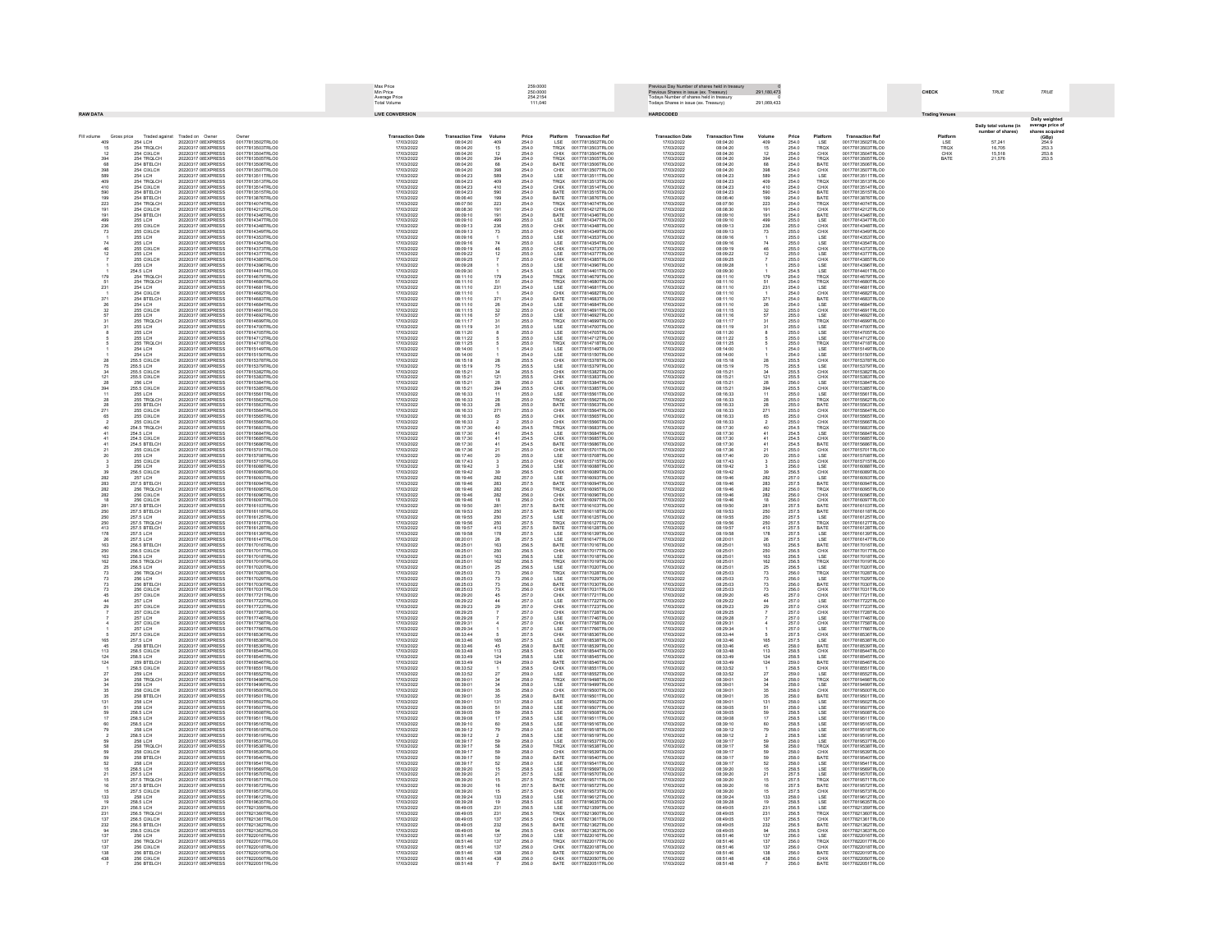|                                                            |                                                                              | May Drive<br>259.0000<br>Min Price<br>Average Price<br>Total Volume<br>250.0000<br>250.0000                     |                                                                                                  |  |                                        |                                                          | ous Day Number of shares held in trea<br>Previous Day Number or shares neight<br>Previous Shares in issue (ex. Treasury)<br>Todays Number of shares held in treasury<br>291,180,473 |                                               |                                               |                                                                                                  |                                                           |                                                          | CHECK                                                                   | TRUE                             | TRUE                                                                         |                                                                                                       |                       |                        |                                                      |
|------------------------------------------------------------|------------------------------------------------------------------------------|-----------------------------------------------------------------------------------------------------------------|--------------------------------------------------------------------------------------------------|--|----------------------------------------|----------------------------------------------------------|-------------------------------------------------------------------------------------------------------------------------------------------------------------------------------------|-----------------------------------------------|-----------------------------------------------|--------------------------------------------------------------------------------------------------|-----------------------------------------------------------|----------------------------------------------------------|-------------------------------------------------------------------------|----------------------------------|------------------------------------------------------------------------------|-------------------------------------------------------------------------------------------------------|-----------------------|------------------------|------------------------------------------------------|
| <b>RAW DATA</b>                                            |                                                                              |                                                                                                                 |                                                                                                  |  | <b>LIVE CONVERSION</b>                 |                                                          |                                                                                                                                                                                     | 111,040                                       |                                               |                                                                                                  | Todays Shares in issue (ex. Treasury)<br><b>HARDCODED</b> |                                                          | 291,069,433                                                             |                                  |                                                                              |                                                                                                       | <b>Trading Venues</b> |                        |                                                      |
|                                                            |                                                                              |                                                                                                                 |                                                                                                  |  |                                        |                                                          |                                                                                                                                                                                     |                                               |                                               |                                                                                                  |                                                           |                                                          |                                                                         |                                  |                                                                              |                                                                                                       |                       | Daily total volume (in | Daily weights<br>average price of<br>shares acquired |
| Fill volume<br>Gross price<br>409                          | Traded aga                                                                   | Traded on Owne                                                                                                  | Owns<br>00177813502TRLO0                                                                         |  | <b>Transaction Date</b><br>17/03/2022  | <b>Transaction Tim</b><br>08:04:20                       | 409                                                                                                                                                                                 | Price<br>254.0                                | Platform<br>LSE                               | <b>Transaction Ref</b><br>00177813502TRLO0                                                       | <b>Transaction Date</b><br>17/03/2022                     | <b>Transaction Tim</b><br>08:04:20                       |                                                                         | <b>Price</b><br>254.0            | Platfor                                                                      | <b>Transaction Ref</b>                                                                                |                       | er of sha<br>57,241    | (GBp)<br>254.9<br>253.3                              |
| $\frac{15}{12}$                                            | 254 LCH<br>254 TRQLCH<br>254 CIXLCH                                          | 20220317 01 EXPRESS<br>20220317 01 EXPRESS<br>20220317 01 EXPRESS                                               | 00177813503TRLO0<br>00177813504TRLO0                                                             |  | 17/03/2022<br>17/03/2022               | 08:04:20<br>08:04:20                                     | 15<br>12                                                                                                                                                                            | 254.0<br>254.0                                | TRQX<br>CHIX                                  | 00177813503TRLO0<br>00177813504TRLO0                                                             | 17/03/2022<br>17/03/2022                                  | 08:04:20<br>08:04:20                                     | $\begin{array}{r} \text{Volume} \\ 409 \\ 15 \\ 12 \end{array}$         | 254.0<br>254.0                   | LSE<br>TRQX<br>CHIX                                                          | 00177813502TRLOO<br>00177813504TRLO                                                                   | LSE<br>TRQX<br>CHIX   | 16,705<br>15,518       | 253.8                                                |
| 394<br>68<br>398                                           | 254 TROLCH<br>254 BTELCH<br>254 CIXI CH                                      | 20220317 0I EXPRESS<br>20220317 0I EXPRESS<br>20220317 OLEXPRESS                                                | 00177813505TRLOD<br>00177813506TRLOD<br>00177813507TRLOC                                         |  | 17/03/2022<br>17/03/2022<br>17/03/2022 | 08:04:20<br>08:04:20<br>08:04:20                         | $\frac{394}{68}$                                                                                                                                                                    | 254.0<br>254.0                                | TRQX<br>BATE<br>CHIX                          | 00177813505TRLO0<br>00177813506TRLO0<br>00177813507TRLO0                                         | 17/03/2022<br>17/03/2022<br>17/03/2022                    | 08:04:20<br>08:04:20<br>08:04:20                         | $\frac{394}{68}$                                                        | 254.0<br>254.0<br>254.0          | TRQX<br>BATE                                                                 | 00177813505TRLO<br>00177813506TRLO<br>00177813507TRLO0                                                | BATE                  | 21.576                 | 253.5                                                |
|                                                            | 254 LCH<br>254 TRQLCH                                                        | 20220317 01 EXPRESS                                                                                             |                                                                                                  |  | 17/03/2022<br>17/03/2022               |                                                          | 398<br>589<br>409<br>410<br>590<br>199                                                                                                                                              | 254.0<br>254.0<br>254.0<br>254.0<br>254.0     |                                               | 00177813511TRLOO                                                                                 | 17/03/2022<br>17/03/2022                                  |                                                          | 398<br>589<br>589<br>410<br>590<br>199                                  | 254.0<br>254.0                   | CHIX<br>LSE<br>TRQX<br>CHIX<br>BATE<br>BATE                                  |                                                                                                       |                       |                        |                                                      |
| 585<br>405<br>410<br>590<br>195                            | 254 CIXLCH                                                                   | 20220317 01 EXPRESS<br>20220317 01 EXPRESS<br>20220317 01 EXPRESS                                               | 00177813511TRLO0<br>00177813513TRLO0<br>00177813514TRLO0<br>00177813514TRLO0<br>00177813515TRLO0 |  | 17/03/202<br>17/03/2022                | 08:04:20<br>08:04:23<br>08:04:23<br>08:04:23<br>08:04:23 |                                                                                                                                                                                     |                                               | LSE<br>TRQX<br>CHIX<br>BATE<br>BATE           | 00177813514TRLOD<br>00177813514TRLOD<br>00177813515TRLOD                                         | 17/03/2022<br>17/03/2022                                  | 08:04:20<br>08:04:23<br>08:04:23<br>08:04:23<br>08:04:23 |                                                                         | 254.0<br>254.0                   |                                                                              | 00177813511TRLO0<br>00177813513TRLO0<br>00177813514TRLO0<br>00177813514TRLO0<br>00177813515TRLO0      |                       |                        |                                                      |
| 223<br>191                                                 | 254 BTELCH<br>254 TROLCH                                                     | 20220317 0IEXPRESS<br>20220317 0I EXPRESS                                                                       | 00177813876TRLOD<br>00177814074TRLOD                                                             |  | 17/03/2022<br>17/03/2022               | 08:06:40<br>08:07:50                                     |                                                                                                                                                                                     | 254.0<br>254.0<br>254.0                       | TRQX<br>CHIX                                  | 00177813876TRLO0<br>00177814074TRLO0                                                             | 17/03/2022<br>17/03/2022                                  | 08:06:40<br>08:07:50                                     |                                                                         | 254.0<br>254.0<br>254.0          | TRQX<br>CHIX                                                                 | 00177813876TRLO0<br>00177814074TRLO0                                                                  |                       |                        |                                                      |
| 191<br>499                                                 | 254 CIXLCH<br>254 BTELCH<br>255 LCH                                          | 20220317 0I EXPRESS<br>20220317 OLEXPRESS<br>20220317 OLEXPRESS                                                 | 00177814212TRLOD<br>00177814346TRLOI<br>00177814347TRLO                                          |  | 17/03/2022<br>17/03/2022<br>7/03/2022  | 08:08:30<br>08:09:10<br>08:09:10                         | 223<br>191<br>191<br>499<br>236<br>73                                                                                                                                               |                                               | BATE<br>LSE                                   | 00177814212TRLO0<br>00177814346TRLOD<br>00177814347TRLOC                                         | 17/03/2022<br>17/03/2022<br>17/03/2022                    | 08:08:30<br>08:09:10<br>08:09:10                         | 223<br>191<br>191<br>499<br>236<br>73                                   | 254.0<br>255.0                   |                                                                              | 00177814212TRLO<br>00177814346TRLOL<br>00177814347TRLO                                                |                       |                        |                                                      |
| $\frac{236}{73}$                                           | 255 CIXLCH<br>255 CIXLCH                                                     | 20220317 01 EXPRESS<br>20220317 01 EXPRESS<br>20220317 01 EXPRESS                                               | 00177814348TRLOO<br>00177814349TRLOO<br>00177814353TRLOO                                         |  | 7/03/2022                              | 08:09:13<br>08:09:13                                     |                                                                                                                                                                                     | 254.0<br>255.0<br>255.0<br>255.0<br>255.0     | CHIX<br>CHIX<br>LSE                           | 00177814348TRLOO<br>00177814348TRLOO<br>00177814353TRLOO                                         | 17/03/2022                                                | 08:09:13                                                 |                                                                         | 255.0                            |                                                                              | 00177814348TRLOO<br>00177814349TRLOO<br>00177814353TRLOO                                              |                       |                        |                                                      |
|                                                            | 255 LCH<br>255 LCH                                                           | 20220317 0IEXPRESS                                                                                              | 00177814354TRLOD                                                                                 |  | 17/03/2022<br>17/03/2022<br>17/03/2022 | 08:09:16<br>08:09:16                                     | 74                                                                                                                                                                                  |                                               |                                               | 00177814354TRLO0                                                                                 | 17/03/2022<br>17/03/2022<br>17/03/2022                    | 08:09:13<br>08:09:16<br>08:09:16                         |                                                                         | 255.0<br>255.0                   |                                                                              | 00177814354TRLO                                                                                       |                       |                        |                                                      |
| $74$<br>$46$<br>12                                         | 255 CIXLCH<br><b>255 LCH</b>                                                 | 20220317 0IEXPRESS<br>20220317 0I EXPRESS                                                                       | 00177814373TRLOD<br>00177814377TRLOD                                                             |  | 17/03/2022<br>17/03/2022               | 08:09:19<br>08:09:22                                     | 46<br>12                                                                                                                                                                            | 255.0<br>255.0<br>255.0                       | LSE<br>CHIX<br>LSE                            | 00177814373TRLO0<br>00177814377TRLO0                                                             | 17/03/2022<br>17/03/2022                                  | 08:09:19<br>08:09:22                                     | $^{74}_{46}$<br>12                                                      | 255.0<br>255.0<br>255.0          | BATE<br>CHIX<br>CHIX<br>CHIX<br>CHIX<br>CHIX<br>CHIX<br>CHIX<br>TRQX<br>TRQX | 00177814373TRLO<br>00177814377TRLOD                                                                   |                       |                        |                                                      |
|                                                            | 255 CIXLCH<br>255 LCH                                                        | 20220317 01 EXPRESS<br>20220317 01 EXPRESS                                                                      | 00177814385TRLOD<br>00177814396TRLOD                                                             |  | 17/03/2022<br>17/03/2022               | 08:09:25<br>08:09:28                                     |                                                                                                                                                                                     | 255.0<br>255.0                                | CHIX<br>LSE<br>LSE<br>TRQX<br>TRQX            | 00177814385TRLOO<br>00177814396TRLOO                                                             | 17/03/2022<br>17/03/2022                                  | 08:09:25<br>08:09:28                                     |                                                                         | 255.0<br>255.0                   |                                                                              | 00177814385TRLOO<br>00177814396TRLOO                                                                  |                       |                        |                                                      |
| $175$<br>51                                                | 254.5 LCH<br>254 TRQLCH<br>254 TRQLCH                                        | 20220317 01 EXPRESS<br>20220317 01 EXPRESS<br>20220317 01 EXPRESS<br>20220317 0IEXPRESS                         | 00177814401TRLOI<br>00177814401TRLOI<br>00177814680TRLOD                                         |  | 17/03/2022                             | 08:09:26<br>08:09:30<br>08:11:10<br>08:11:10             | 179<br>51                                                                                                                                                                           | 254.5<br>254.0<br>254.0                       |                                               | 001778145901RE00<br>00177814401TRLO0<br>00177814679TRLO0<br>00177814680TRLO0                     | 17/03/2022                                                | 08:09:26<br>08:09:30<br>08:11:10<br>08:11:10             | $\frac{175}{51}$                                                        | 254.5<br>254.0<br>254.0          |                                                                              | 00177814401TRLO<br>00177814401TRLOI<br>00177814680TRLO0                                               |                       |                        |                                                      |
| 231                                                        | <b>254 LCH</b><br>254 CIXLCH                                                 | 20220317 0I EXPRESS<br>20220317 0I EXPRESS                                                                      | 00177814681TRLOD<br>00177814682TRLOD                                                             |  | 17/03/2022<br>17/03/2022               | 08:11:10<br>08:11:10                                     | $^{231}_{1}$                                                                                                                                                                        | 254.0<br>254.0                                | LSE<br>CHIX                                   | 00177814681TRLO0<br>00177814682TRLO0                                                             | 17/03/2022<br>17/03/2022                                  | 08:11:10<br>08:11:10                                     | $^{231}_{1}$                                                            | 254.0<br>254.0                   | LSE<br>CHIX                                                                  | 00177814681TRLOD<br>00177814682TRLO                                                                   |                       |                        |                                                      |
| $\begin{array}{r} 371 \\ 26 \\ 32 \\ 57 \\ 31 \end{array}$ | 254 BTELCH<br>254 LCH                                                        | 20220317 OLEXPRESS<br>20220317 OLEXPRESS                                                                        | 00177814683TRLOC<br>00177814684TRLO                                                              |  | 17/03/2022<br>7/03/2022                | 08:11:10<br>08:11:10                                     | $\frac{371}{26}$<br>$\frac{32}{57}$<br>$\frac{57}{31}$                                                                                                                              | 254.0<br>254.0<br>255.0<br>255.0<br>255.0     | BATE<br>LSE                                   | 00177814683TRLO0<br>00177814684TRLOO                                                             | 17/03/2022<br>17/03/2022<br>17/03/2022                    | 08:11:10<br>08:11:10                                     | $\begin{array}{r} 371 \\ 26 \\ 32 \\ 57 \\ 31 \end{array}$              | 254.0<br>254.0                   | BATE<br>LSE<br>CHIX<br>LSE<br>TROX                                           | 00177814683TRLOL<br>00177814684TRLOL                                                                  |                       |                        |                                                      |
|                                                            | 254 CCH<br>255 CIXLCH<br>255 TRQLCH                                          | 20220317 01 EXPRESS<br>20220317 01 EXPRESS<br>20220317 01 EXPRESS                                               | 00177814694TRLOO<br>00177814692TRLOO<br>00177814699TRLOO                                         |  | 7/03/2022<br>17/03/2022                | 08:11:15<br>08:11:15<br>08:11:16<br>08:11:17             |                                                                                                                                                                                     |                                               | CHIX<br>LSE<br>TRQX                           | 00177814691TRLOO<br>00177814692TRLOO<br>00177814699TRLOO                                         | 17/03/2022                                                | 08:11:15<br>08:11:16<br>08:11:17                         |                                                                         | 255.0<br>255.0<br>255.0          |                                                                              | 00177814691TRLOO<br>00177814692TRLOO<br>00177814699TRLOO                                              |                       |                        |                                                      |
|                                                            | 255 LCH<br>255 LCH                                                           | 20220317 0IEXPRESS<br>20220317 0IEXPRESS                                                                        | 00177814700TRLOD<br>00177814705TRLOD                                                             |  | 17/03/2022<br>17/03/2022<br>17/03/2022 | 08:11:19<br>08:11:20                                     | 31                                                                                                                                                                                  | 255.0<br>255.0                                | LSE<br>LSE                                    | 00177814700TRLO0<br>00177814705TRLO0                                                             | 17/03/2022<br>17/03/2022<br>17/03/2022                    | 08:11:19<br>08:11:20                                     |                                                                         | 255.0<br>255.0                   | LSE<br>LSE<br>LSE                                                            | 00177814700TRLO<br>00177814705TRLO                                                                    |                       |                        |                                                      |
|                                                            | <b>255 LCH</b><br>255 TROLCH<br>254 LCH                                      | 20220317 0I EXPRESS<br>20220317 01 EXPRESS<br>20220317 01 EXPRESS                                               | 00177814712TRLOD<br>00177814718TRLOD<br>00177815149TRLOD                                         |  | 17/03/2022<br>17/03/2022               | 08:11:22<br>08:11:25<br>08:14:00                         |                                                                                                                                                                                     | 255.0<br>255.0<br>254.0                       | LSE<br>TRQX<br>LSE                            | 00177814712TRLO0<br>00177814718TRLO0<br>00177815149TRLO0                                         | 17/03/2022<br>17/03/2022                                  | 08:11:22<br>08:11:25<br>08:14:00                         |                                                                         | 255.0<br>255.0<br>254.0          |                                                                              | 00177814712TRLOD<br>00177814718TRLOO<br>00177815149TRLOO                                              |                       |                        |                                                      |
|                                                            | 254 LCH<br>255.5 CIXLCH                                                      |                                                                                                                 | 001778151491NLOI<br>00177815150TRLOI                                                             |  | 17/03/2022                             | 08:14:00<br>08:14:00<br>08:15:18                         |                                                                                                                                                                                     |                                               |                                               | 00177815150TRLOO                                                                                 | 17/03/2022<br>17/03/2022<br>17/03/2022                    | 08:14:00<br>08:14:00<br>08:15:18                         |                                                                         |                                  | TROX<br>LSE<br>LSE<br>CHIX<br>LSE                                            |                                                                                                       |                       |                        |                                                      |
| $rac{28}{75}$                                              | 255.5 LCH                                                                    | 20220317 01 EXPRESS<br>20220317 01 EXPRESS<br>20220317 01 EXPRESS<br>20220317 0I EXPRESS                        | 00177815379TRLOD<br>00177815382TRLOD                                                             |  | 17/03/2022<br>17/03/2022               | 08:15:19<br>08:15:21                                     | 75                                                                                                                                                                                  | 254.0<br>255.5<br>255.5                       | LSE<br>CHIX<br>LSE                            | 00177815379TRLO0<br>00177815382TRLO0                                                             | 17/03/2022<br>17/03/2022                                  | 08:15:19<br>08:15:21                                     | $\frac{28}{75}$                                                         | 254.0<br>256.5<br>255.5          |                                                                              | 00177815150TRLOO<br>00177815378TRLOO<br>00177815379TRLOO<br>00177815382TRLOD                          |                       |                        |                                                      |
| $\frac{34}{121}$<br>$rac{28}{394}$                         | 255.5 CIXLCH<br>255.5 CIXLCH<br>256 LCH                                      | 20220317 0I EXPRESS<br>20220317 OLEXPRESS                                                                       | 00177815383TRLOD<br>00177815384TRLOC                                                             |  | 17/03/2022<br>17/03/2022               | 08:15:21<br>08:15:21                                     | $\frac{34}{121}$                                                                                                                                                                    | 255.5<br>255.5<br>256.0<br>255.5              | CHIX<br>CHIX                                  | 00177815383TRLO0<br>00177815384TRLO0                                                             | 17/03/2022<br>17/03/2022                                  | 08:15:21<br>08:15:21                                     | $\frac{34}{121}$                                                        | 255.5<br>255.5<br>256.0<br>255.5 | CHIX<br>CHIX<br>LSE<br>LSE<br>TRQX<br>BATE                                   | 00177815383TRLO<br>00177815384TRLOL                                                                   |                       |                        |                                                      |
|                                                            | 255.5 CIXI CH                                                                | 20220317 OLEXPRESS                                                                                              | 00177815385TRLOI<br>00177815561TRLOI                                                             |  | 17/03/2022<br>17maronoo                | 08:15:21                                                 |                                                                                                                                                                                     |                                               | LSE<br>CHIX<br>LSE<br>TRQX<br>BATE            | 00177815385TRLO0<br>00177815561TRLOD                                                             | 17/03/2022<br>17/03/2022                                  | 08:15:21                                                 |                                                                         |                                  |                                                                              | 00177815385TRLOL<br>00177815561TRLO                                                                   |                       |                        |                                                      |
| $\frac{28}{28}$<br>$\frac{271}{65}$                        | 255 LCH<br>255 TRQLCH<br>255 BTELCH<br>255 CIXLCH                            | 20220317 01 EXPRESS<br>20220317 01 EXPRESS<br>20220317 01 EXPRESS<br>20220317 0IEXPRESS                         | 00177815562TRLOL<br>00177815562TRLOL<br>00177815563TRLOL<br>00177815564TRLOD                     |  | 17/03/2022<br>17/03/2022               | 06.16:33<br>08:16:33<br>08:16:33<br>08:16:33             | 28<br>394<br>11<br>28<br>27<br>1<br>5<br>27<br>1                                                                                                                                    | 255.0<br>255.0<br>255.0<br>255.0<br>255.0     |                                               | 00177815562TRLO0<br>00177815562TRLO0<br>00177815563TRLO0<br>00177815564TRLO0                     | 17/03/2022<br>17/03/2022<br>17/03/2022                    | 08:18:33<br>08:16:33<br>08:16:33<br>08:16:33             | 28<br>394<br>11<br>28<br>28<br>27<br>1<br>65                            | 255.0<br>255.0<br>255.0          |                                                                              | 00177815562TRLOD<br>00177815562TRLOD<br>00177815563TRLOD<br>00177815564TRLO                           |                       |                        |                                                      |
|                                                            | 255 CIXLCH<br>255 CIXLCH                                                     | 20220317 0IEXPRESS<br>20220317 0I EXPRESS                                                                       | 00177815565TRLOD<br>00177815566TRLOD                                                             |  | 17/03/2022<br>17/03/2022               | 08:16:33<br>08:16:33                                     |                                                                                                                                                                                     | 255.0                                         | CHIX<br>CHIX<br>CHIX                          | 00177815565TRLO0<br>00177815566TRLO0                                                             | 17/03/2022<br>17/03/2022                                  | 08:16:33<br>08:16:33                                     |                                                                         | 255.0<br>255.0<br>255.0          |                                                                              | 00177815565TRLO<br>00177815566TRLO                                                                    |                       |                        |                                                      |
| $rac{40}{41}$                                              | 254 5 TROLCH<br>254.5 LCH                                                    | 20220317 OLEXPRESS<br>20220317 OLEXPRESS                                                                        | 00177815683TRLO0<br>00177815684TRLO0                                                             |  | 17/03/2022<br>17/03/2022               | 08:17:30<br>08:17:30                                     | $^{40}_{41}$                                                                                                                                                                        | 254.5<br>254.5<br>254.5<br>254.5<br>255.0     | TRQX<br>LSE                                   | 00177815683TRLO0<br>00177815684TRLO0                                                             | 17/03/2022<br>17/03/2022                                  | 08:17:30<br>08:17:30                                     | $\frac{40}{41}$                                                         | 254.5<br>254.5                   |                                                                              | 00177815683TRLOO<br>00177815684TRLOO                                                                  |                       |                        |                                                      |
|                                                            | 254.5 CIXLCH<br>254.5 BTELCH<br>255 CIXLCH                                   | 20220317 01 EXPRESS<br>20220317 01 EXPRESS<br>20220317 01 EXPRESS                                               | 00177815685TRLO0<br>00177815686TRLO0<br>00177815701TRLO0                                         |  |                                        | 08:17:30                                                 |                                                                                                                                                                                     |                                               | CHIX<br>BATE<br>CHIX                          | 00177815685TRLO0<br>00177815686TRLO0<br>00177815701TRLO0                                         | 7/03/2022                                                 | 08:17:30                                                 |                                                                         | 254.5<br>254.5<br>254.5          |                                                                              | 00177815685TRLOO<br>00177815686TRLOO<br>00177815701TRLOO                                              |                       |                        |                                                      |
| $20$                                                       | <b>255 LCH</b><br>255 CIXLCH                                                 | 20220317 0IEXPRESS<br>20220317 0IEXPRESS                                                                        | 00177815708TRLOD<br>00177815715TRLOD                                                             |  | 17/03/2022<br>17/03/2022<br>17/03/2022 | 08:17:36<br>08:17:40<br>08:17:43                         | 21<br>$\frac{20}{3}$                                                                                                                                                                | 255.0<br>255.0                                | LSE<br>CHIX                                   | 00177815708TRLO0<br>00177815715TRLO0                                                             | 17/03/2022<br>17/03/2022<br>17/03/2022                    | 08:17:36<br>08:17:40<br>08:17:43                         | $\frac{20}{3}$                                                          | 255.0<br>255.0                   | CHIX<br>CHIX<br>TRQX<br>LSE<br>CHIX<br>LSE<br>CHIX<br>LSE                    | 00177815708TRLO<br>00177815715TRLO                                                                    |                       |                        |                                                      |
|                                                            | <b>256 LCH</b><br>256.5 CIXLCH                                               | 20220317 0I EXPRESS<br>20220317 0LEXPRESS                                                                       | 00177816088TRLOD<br>00177816089TRLO                                                              |  | 17/03/2022<br>17/03/2022               | 08:19:42<br>08:19:42                                     |                                                                                                                                                                                     | 256.0<br>256.5                                | LSE<br>CHIX                                   | 00177816088TRLO0<br>00177816089TRLO0                                                             | 17/03/2022<br>17/03/2022                                  | 08:19:42<br>08:19:42                                     |                                                                         | 256.0<br>256.5                   | LSE<br>LSE<br>CHIX<br>LSE<br>BATE<br>TROX<br>CHIX<br>CHIX<br>BATE            | 00177816088TRLO<br>00177816089TRLO                                                                    |                       |                        |                                                      |
| 282                                                        | <b>257 LCH</b>                                                               | 20220317 OLEXPRESS                                                                                              | 00177816093TRLOC                                                                                 |  | 17/03/2022<br>17/03/2022<br>17/03/2022 | 08:19:46<br>06.19.46<br>08:19:46<br>08:19:46             | 282<br>283<br>282<br>282<br>18                                                                                                                                                      | 257.0<br>257.5<br>256.0<br>256.0<br>256.0     | LSE<br>BATE<br>TRQX<br>CHIX<br>CHIX           | 00177816093TRLO0<br>00177816094TRLO0<br>00177816094TRLO0<br>00177816095TRLO0                     | 17/03/2022<br>------------<br>17/03/2022<br>17/03/2022    | 08:19:46<br>08:19:46<br>08:19:46                         | 282<br>283<br>282<br>282<br>18                                          | 257.0<br>257.5<br>256.0          |                                                                              | 00177816093TRLOL                                                                                      |                       |                        |                                                      |
| 283<br>282<br>282<br>18                                    | 257.5 BTELCH<br>256 TRQLCH<br>256 CIXLCH<br>256 CIXLCH                       | 20220317 01 EXPRESS<br>20220317 01 EXPRESS<br>20220317 01 EXPRESS<br>20220317 01 EXPRESS                        | 00177816094TRLO0<br>00177816095TRLO0<br>00177816096TRLO0<br>00177816097TRLOD                     |  | 17/03/2022<br>17/03/2022               | 08:19:46<br>08:19:46                                     |                                                                                                                                                                                     |                                               |                                               | 00177816096TRLO0<br>00177816097TRLO0                                                             | 17/03/2022<br>17/03/2022                                  | 08:19:46<br>08:19:46                                     |                                                                         | 256.0<br>256.0                   |                                                                              | 00177816094TRLO0<br>00177816095TRLO0<br>00177816096TRLO0<br>00177816097TRLO                           |                       |                        |                                                      |
| 281<br>250<br>250                                          | 257.5 BTELCH<br>257 S RTFLCH                                                 | 20220317 0I EXPRESS<br>20220317 OLEXPRESS                                                                       | 00177816103TRLOD<br>00177816118TRLOC                                                             |  | 17/03/2022<br>17/03/2022               | 08:19:50<br>08:19:53                                     | 281                                                                                                                                                                                 | 257.5<br>257.5<br>257.5                       | BATE<br>BATE<br>LSE                           | 00177816103TRLO0<br>00177816118TRLO0                                                             | 17/03/2022<br>17/03/2022                                  | 08:19:50<br>08:19:53                                     | 281                                                                     | 257.5<br>257.5<br>257.5          |                                                                              | 00177816103TRLO0<br>00177816118TRLOO                                                                  |                       |                        |                                                      |
|                                                            | 257.5 LCH                                                                    | 20220317 OLEXPRESS<br>20220317 01 EXPRESS<br>20220317 01 EXPRESS<br>20220317 01 EXPRESS                         | 00177816125TRLO                                                                                  |  | 17/03/2022<br>2/03/2022                | 08:19:55                                                 | 250<br>250<br>250<br>413<br>178                                                                                                                                                     |                                               |                                               | 00177816125TRLO0                                                                                 | 17/03/2022<br>17/03/2022<br>17/03/2022                    | 08:19:55<br>08:19:56<br>08:19:56                         | 250<br>250<br>250<br>413<br>178                                         |                                  | BATE<br>LSE<br>TRQX<br>BATE<br>LSE<br>LSE<br>LSE<br>BATE                     | 00177816125TRLO                                                                                       |                       |                        |                                                      |
| 250<br>413<br>178                                          | 257.5 LCH<br>257.5 TRQLCH<br>257.5 BTELCH<br>257.5 LCH                       | 20220317 01 EXPRESS<br>20220317 0IEXPRESS                                                                       | 00177816127TRLO0<br>00177816128TRLO0<br>00177816139TRLO0<br>00177816147TRLOD                     |  | 17/03/2022<br>17/03/2022               | 06.19.56<br>08:19:56<br>08:19:57<br>08:19:58<br>08:20:01 |                                                                                                                                                                                     | 257.5<br>257.5<br>257.5                       | TRQX<br>BATE<br>LSE<br>LSE<br>LSE<br>BATE     | 00177816127TRLO0<br>00177816128TRLO0<br>00177816139TRLO0<br>00177816147TRLO0                     | 17/03/2022<br>17/03/2022                                  | 08:19:58<br>08:20:01                                     |                                                                         | 257.5<br>257.5<br>257.5          |                                                                              | 00177816127TRLO0<br>00177816128TRLO0<br>00177816139TRLO0<br>00177816147TRLO                           |                       |                        |                                                      |
| $\frac{26}{163}$                                           | 257.5 LCH<br>256.5 BTELCH<br>256.5 CIXLCH                                    | 20220317 0IEXPRESS<br>20220317 0I EXPRESS                                                                       | 00177817016TRLOD<br>00177817017TRLOD                                                             |  | 17/03/2022<br>17/03/2022               | 08:25:01<br>08:25:01                                     | $\frac{26}{163}$                                                                                                                                                                    | 257.5<br>256.5                                |                                               | 00177817016TRLOD<br>00177817017TRLO0                                                             | 17/03/2022<br>17/03/2022                                  | 08:25:01<br>08:25:01                                     | $\frac{26}{163}$                                                        | 257.5<br>256.5                   |                                                                              | 00177817016TRLO<br>00177817017TRLO                                                                    |                       |                        |                                                      |
| 250<br>163                                                 | 256.5 LCH<br>256.5 TROLCH                                                    | 20220317 0I EXPRESS<br>20220317 OLEXPRESS                                                                       | 00177817018TRLOD<br>00177817019TRLOC                                                             |  | 17/03/2022<br>17/03/2022               | 08:25:01<br>08:25:01                                     | 250<br>163<br>162<br>25<br>73                                                                                                                                                       | 256.5<br>256.5                                | CHIX<br>LSE                                   | 00177817018TRLO0<br>00177817019TRLO0                                                             | 17/03/2022<br>17/03/2022                                  | 08:25:01<br>08:25:01                                     | 250<br>163<br>162<br>25<br>73<br>73<br>73<br>73                         | 256.5<br>256.5<br>256.5          | CHIX<br>LSE                                                                  | 00177817018TRLO<br>00177817019TRLO                                                                    |                       |                        |                                                      |
| 162<br>25<br>73<br>73                                      | 256.5 LCH<br>256 TRQLCH                                                      | 20220317 01 EXPRESS<br>20220317 01 EXPRESS<br>20220317 01 EXPRESS<br>20220317 01 EXPRESS<br>20220317 01 EXPRESS | 00177817020TRLCO<br>00177817028TRLC0<br>00177817028TRLC0<br>00177817029TRLC0                     |  |                                        | 08:25:01<br>08:25:03                                     |                                                                                                                                                                                     | 256.5<br>256.5<br>256.0<br>256.0<br>256.0     | TROX<br>LSE<br>TROX<br>LSE<br>BATE            | 00177817020TRLOO<br>00177817028TRLOO<br>00177817028TRLOO                                         |                                                           | 08:25:01                                                 |                                                                         |                                  | TROX<br>LSE<br>TROX<br>LSE<br>BATE                                           | 00177817020TRLO0<br>00177817028TRLO0<br>00177817029TRLO0<br>00177817030TRLO0                          |                       |                        |                                                      |
| 73                                                         | 256 LCH<br>256 BTELCH<br>256 CIXLCH                                          | 20220317 0I EXPRESS                                                                                             | 00177817030TRLOD<br>00177817031TRLOD                                                             |  | 17/03/2022<br>17/03/2022<br>17/03/2022 | 08:25:03<br>08:25:03                                     | $^{73}_{73}$<br>73                                                                                                                                                                  | 256.0                                         | CHIX                                          | 00177817030TRLO0<br>00177817031TRLO0                                                             | 17/03/2022<br>17/03/2022<br>17/03/2022                    | 08:25:03<br>08:25:03<br>08:25:03                         |                                                                         | 256.0<br>256.0<br>256.0          |                                                                              | 00177817031TRLOD                                                                                      |                       |                        |                                                      |
| $rac{45}{44}$                                              | 257 CIXI CH<br>257 LCH                                                       | 20220317 OLEXPRESS<br>20220317 OLEXPRESS                                                                        | 00177817721TRLOD<br>00177817722TRLOI                                                             |  | 17/03/2022<br>17/03/2022               | 08:29:20<br>08:29:22                                     | $rac{45}{44}$                                                                                                                                                                       | 257.0<br>257.0                                | CHIX<br>LSE                                   | 00177817721TRLO0<br>00177817722TRLO0                                                             | 17/03/2022<br>17/03/2022                                  | 08:29:20<br>08:29:22                                     | $\frac{45}{44}$                                                         | 257.0<br>257.0                   | CHIX<br>CHIX<br>CHIX<br>CHIX<br>LSE<br>LSE<br>LSE                            | 00177817721TRLO0<br>00177817722TRLOL                                                                  |                       |                        |                                                      |
|                                                            | 257 CIXLCH<br>257 CIXLCH                                                     | 20220317 01 EXPRESS<br>20220317 01 EXPRESS                                                                      | 00177817723TRLOD<br>00177817728TRLOD                                                             |  | 17/03/2022<br>17/03/2022               | 08:29:22<br>08:29:23<br>08:29:25<br>08:29:28             | $\frac{29}{3}$                                                                                                                                                                      | 257.0<br>257.0<br>257.0                       | CHIX<br>CHIX<br>LSE<br>LSE<br>LSE             | 00177817723TRLOO<br>00177817728TRLOO                                                             | 17/03/2022<br>17/03/2022                                  | 08:29:23<br>08:29:25<br>08:29:26<br>08:29:28             |                                                                         | 257.0<br>257.0<br>257.0          |                                                                              | 00177817723TRLOO<br>00177817728TRLOO                                                                  |                       |                        |                                                      |
|                                                            | 257 LCH<br>257 CIXLCH<br>257 LCH                                             | 20220317 0LEXPRESS<br>20220317 0I EXPRESS<br>20220317 0IEXPRESS                                                 | 00177817746TRLOD<br>00177817758TRLO0<br>00177817766TRLO0                                         |  | 17/03/2022<br>17/03/2022<br>17/03/2022 | 08:29:31<br>08:29:34                                     |                                                                                                                                                                                     | 257.0<br>257.0                                |                                               | 00177817746TRLOD<br>00177817758TRLO0<br>00177817766TRLO0                                         | 17/03/2023<br>17/03/2022<br>17/03/2022                    | 08:29:31<br>08:29:34                                     |                                                                         | 257.0<br>257.0                   |                                                                              | 00177817746TRLOO<br>00177817758TRLO<br>00177817766TRLO                                                |                       |                        |                                                      |
| 165                                                        | 257.5 CIXLCH<br>257.5 LCH                                                    | 20220317 0I EXPRESS<br>20220317 0I EXPRESS                                                                      | 00177818536TRLOD<br>00177818538TRLOD                                                             |  | 17/03/2022<br>17/03/2022               | 08:33:44<br>08:33:46                                     | 165                                                                                                                                                                                 | 257.5<br>257.5                                | CHIX<br>LSE                                   | 00177818536TRLO0<br>00177818538TRLO0                                                             | 17/03/2022<br>17/03/2022                                  | 08:33:44<br>08:33:46                                     | 165                                                                     | 257.5<br>257.5                   | CHIX<br>LSE                                                                  | 00177818536TRLO<br>00177818538TRLO                                                                    |                       |                        |                                                      |
| 46                                                         | 258 RTFLCH<br>258.5 CIXLCH<br>258.5 LCH<br>258.5 LCH                         | 20220317 OLEXPRESS                                                                                              | 00177818539TRLOC                                                                                 |  | 17/03/2022                             | 08:33:46                                                 | 46                                                                                                                                                                                  | 258.0<br>258.5<br>258.5<br>259.0<br>258.5     | BATE<br>CHIX<br>LSE<br>BATE<br>CHIX           | 00177818539TRLO0                                                                                 | 17/03/2022                                                | 08:33:46<br>08:33:48                                     | 45                                                                      | 258.0<br>258.5                   | BATE                                                                         | 00177818539TRLOL                                                                                      |                       |                        |                                                      |
| $113$<br>$124$<br>$124$                                    | 259 BTELCH<br>258.5 CIXLCH                                                   | 20220317 01 EXPRESS<br>20220317 01 EXPRESS<br>20220317 01 EXPRESS<br>20220317 01 EXPRESS                        | 00177818544TRLO0<br>00177818545TRLO0<br>00177818546TRLO0<br>00177818551TRLO0<br>00177818551TRLO0 |  | 17/03/2022<br>17/03/2022               | 08:33:48<br>08:33:48<br>08:33:49<br>08:33:49<br>08:33:52 | $\frac{113}{124}$                                                                                                                                                                   |                                               |                                               | 00177818544TRLO0<br>00177818545TRLO0<br>00177818546TRLO0<br>00177818551TRLO0<br>00177818551TRLO0 | 17/03/2022<br>17/03/2022<br>17/03/2022<br>17/03/2022      | 08:33:49<br>08:33:52                                     |                                                                         | 259.0<br>258.5                   | CHIX<br>LSE<br>BATE<br>CHIX<br>LSE                                           | 001778185391 RLO0<br>00177818545 TRLO0<br>0017781854 STRLO0<br>0017781855 1TRLO0<br>0017781855 1TRLO0 |                       |                        |                                                      |
| $^{27}$                                                    | 259 LCH<br>258 TROLCH                                                        | 20220317 0IEXPRESS<br>20220317 0I EXPRESS                                                                       | 00177818552TRLOD<br>00177819498TRLOD                                                             |  | 17/03/2022<br>17/03/2022               | 08:33:52<br>08:39:01                                     | $27\,$<br>$\frac{34}{34}$                                                                                                                                                           | 259.0<br>258.0<br>258.0                       | LSE<br>TRQX<br>LSE                            | 00177818552TRLO0<br>00177819498TRLO0                                                             | 17/03/2022<br>17/03/2022                                  | 08:33:52<br>08:39:01                                     | $\begin{array}{c} 113 \\ 124 \\ 124 \\ 1 \\ 27 \\ 34 \\ 34 \end{array}$ | 259.0<br>258.0<br>258.0          |                                                                              | 00177818552TRLO<br>00177819498TRLO                                                                    |                       |                        |                                                      |
| $\frac{35}{35}$                                            | <b>258 LCH</b><br>258 CIXI CH<br>258 BTELCH                                  | 20220317 0I EXPRESS<br>20220317 01 EXPRESS<br>20220317 01 EXPRESS                                               | 00177819499TRLOD<br>00177819500TRLOI<br>00177819501TRLO                                          |  | 17/03/2022<br>17/03/2022<br>17/03/2022 | 08:39:01<br>08:39:01<br>08:39:01                         | 35<br>35                                                                                                                                                                            |                                               | CHIX<br>BATE                                  | 00177819499TRLO0<br>00177819500TRLOO<br>00177819501TRLOO                                         | 17/03/2022<br>17/03/2022<br>17/03/2022                    | 08:39:01<br>08:39:01<br>08:39:01                         | 35<br>35                                                                | 258.0<br>258.0                   |                                                                              | 00177819499TRLO<br>00177819500TRLOO<br>00177819501TRLOO                                               |                       |                        |                                                      |
| $\frac{131}{61}$                                           | 258 LCH<br>258 LCH                                                           | 20220317 0LEXPRESS<br>20220317 0IEXPRESS                                                                        | 00177819502TRLO<br>00177819507TRLOD                                                              |  | 17/03/2022                             | 08:39:01<br>08:39:05                                     | 131<br>51                                                                                                                                                                           | 258.0<br>258.0<br>258.0                       |                                               | 00177819502TRLO0<br>00177819507TRLO0                                                             | 17/03/2022                                                | 08:39:01<br>08:39:05                                     | $\overline{13}$                                                         | 258.0                            |                                                                              | 00177819502TRLO<br>00177819507TRLO                                                                    |                       |                        |                                                      |
|                                                            | 258.5 LCH<br>258.5 LCH                                                       | 20220317 0IEXPRESS<br>20220317 0I EXPRESS                                                                       | 00177819508TRLOD<br>00177819511TRLOD                                                             |  | 17/03/2022<br>17/03/2022               | 08:39:05<br>08:39:08                                     | 59<br>17                                                                                                                                                                            | 258.0<br>258.5                                | <b>USE</b><br>USE<br>USE<br>USE               | 00177819508TRLO0<br>00177819511TRLO0                                                             | 17/03/2022<br>17/03/2022                                  | 08:39:05<br>08:39:08                                     | $\frac{51}{59}$                                                         | 258.0<br>258.5                   | TROX<br>CHIX<br>BATE<br>LSE<br>LSE<br>LSE<br>LSE<br>LSE<br>LSE               | 00177819508TRLO<br>00177819511TRLO                                                                    |                       |                        |                                                      |
| 75                                                         | 258.5 LCH<br>258 LCH                                                         | 20220317 0I EXPRESS<br>20220317 OLEXPRESS                                                                       | 00177819516TRLOD<br>00177819518TRLOO                                                             |  | 17/03/2022<br>17/03/2022               | 08:39:10<br>08:39:12                                     | 60<br>79                                                                                                                                                                            | 258.5<br>258.5                                |                                               | 00177819516TRLO0<br>00177819518TRLO0                                                             | 17/03/2022<br>17/03/2022                                  | 08:39:10<br>08:39:12                                     | 79                                                                      | 258.5<br>258.5<br>258.0          |                                                                              | 00177819516TRLO<br>00177819518TRLOL                                                                   |                       |                        |                                                      |
|                                                            | 258 LCH<br>258.5 LCH<br>258 TRQLCH<br>258 CIXLCH<br>258 CIXLCH<br>259 CIXLCH | 20220317 01 EXPRESS<br>20220317 01 EXPRESS<br>20220317 01 EXPRESS<br>20220317 01 EXPRESS                        | 001778195181RLOU<br>00177819537TRLOU<br>00177819538TRLOU<br>00177819538TRLOU<br>00177819539TRLOU |  |                                        | 08:39:12<br>08:39:17<br>08:39:17<br>08:39:17<br>08:39:17 |                                                                                                                                                                                     | 258.0<br>258.5<br>258.0<br>258.0<br>258.0     |                                               | 001778195181KL00<br>00177819537TRL00<br>00177819538TRL00<br>00177819538TRL00<br>00177819539TRL00 | 2/03/2021<br>7/03/2023                                    | 08:39:12<br>08:39:12<br>08:39:17<br>08:39:17             |                                                                         | 258.5<br>258.5<br>258.0<br>258.0 |                                                                              | 001778195181KL00<br>00177819537TRL00<br>00177819538TRL00<br>00177819539TRL00<br>00177819539TRL00      |                       |                        |                                                      |
| 59                                                         | 258 BTELCH                                                                   | 20220317 0I EXPRESS                                                                                             | 00177819540TRLOD                                                                                 |  | 17/03/2022<br>17/03/2022<br>17/03/2022 | 08:39:17                                                 |                                                                                                                                                                                     | 258.0                                         | LSE<br>LSE<br>LSE<br>CHIX<br>BATE             | 00177819540TRLO0                                                                                 | 17/03/2022<br>17/03/2022<br>17/03/2022                    | 08:39:17<br>08:39:17                                     |                                                                         | 258.0                            | LSE<br>LSE<br>LSE<br>CHIX<br>CHIX<br>BATE                                    | 00177819540TRLO                                                                                       |                       |                        |                                                      |
| $\frac{62}{16}$                                            | 258 LCH<br>258.5 LCH                                                         | 20220317 0I EXPRESS<br>20220317 0I EXPRESS                                                                      | 00177819541TRLOD<br>00177819569TRLOD                                                             |  | 17/03/2022<br>17/03/2022               | 08:39:17<br>08:39:20                                     | 59<br>52<br>15                                                                                                                                                                      | 258.0<br>258.5                                | $_{\rm LSE}^{\rm LSE}$                        | 00177819541TRLO0<br>00177819569TRLO0                                                             | 17/03/2022<br>17/03/2022                                  | 08:39:17<br>08:39:20                                     | $\frac{59}{52}$                                                         | 258.0<br>258.5                   | $_{\rm LSE}^{\rm LSE}$                                                       | 00177819541TRLO<br>00177819569TRLO                                                                    |                       |                        |                                                      |
| $\frac{21}{16}$                                            | 257.5 LCH<br>257.5 TROLCH                                                    | 20220317 01 EXPRESS<br>20220317 OLEXPRESS                                                                       | 00177819570TRLO<br>00177819571TRLO                                                               |  | 17/03/2022<br>17/03/2022               | 08:39:20<br>08:39:20                                     | $^{21}_{15}$                                                                                                                                                                        | 257.5<br>257.5                                | LSE<br>TROX<br>BATE CHIX<br>LSE<br>LSE<br>LSE | 00177819570TRLO0<br>00177819571TRLO0                                                             | 17/03/2022<br>17/03/2022                                  | 08:39:20<br>08:39:20                                     | $\frac{21}{15}$                                                         | 257.5<br>257.5                   | LSE<br>TROX                                                                  | 00177819570TRLO<br>00177819571TRLO                                                                    |                       |                        |                                                      |
| $\frac{15}{133}$                                           | 257.5 BTELCH<br>257.5 CIXLCH<br>258 LCH                                      | 20220317 0 EXPRESS<br>20220317 0IEXPRESS<br>20220317 0I EXPRESS                                                 | 00177819572TRLO<br>00177819573TRLOI<br>00177819612TRLOI                                          |  | 17/03/2022<br>17/03/2022               | 08:39:20<br>08:39:20<br>08:39:24                         | $\frac{15}{133}$                                                                                                                                                                    | 257.5<br>257.5<br>258.0                       |                                               | 00177819572TRLOD<br>00177819573TRLO0<br>00177819612TRLOD                                         | 7/03/2022<br>17/03/2022<br>17/03/2022                     | 08:39:20<br>08:39:20<br>08:39:24                         | $\frac{15}{133}$                                                        | 257.5<br>257.5<br>258.0          | BATE<br>CHIX<br>LSE                                                          | 00177819572TRLO<br>00177819573TRLO<br>00177819612TRLO                                                 |                       |                        |                                                      |
| $\frac{19}{231}$                                           | 258.5 LCH<br>256.5 LCH                                                       | 20220317 0I EXPRESS<br>20220317 0I EXPRESS                                                                      | 00177819635TRLOD<br>00177821359TRLOD                                                             |  | 17/03/2022<br>17/03/2022               | 08:39:28<br>08:49:05                                     | $\frac{19}{231}$                                                                                                                                                                    | $\begin{array}{c} 258.5 \\ 256.5 \end{array}$ |                                               | 00177819635TRLO0<br>00177821359TRLOD                                                             | 17/03/2022<br>17/03/2022                                  | 08:39:28<br>08:49:05                                     | $\frac{19}{231}$                                                        | 258.5<br>256.5                   | LSE<br>LSE                                                                   | 00177819635TRLO<br>00177821359TRLO                                                                    |                       |                        |                                                      |
| 231                                                        | 256 S TROLCH<br>256.5 CIXLCH                                                 | 20220317 OLEXPRESS<br>20220317-01EVPRESS                                                                        | 00177821360TRLOD<br>00177821381TRLO                                                              |  | 17/03/2022<br><b>Zingrance</b>         | 08:49:05<br>08:49:05                                     |                                                                                                                                                                                     | 256.5                                         | TROX                                          | 00177821360TRLO0<br>00177821361TRLOD<br>00177821362TRLOD                                         | 17/03/2022<br>17/03/2021                                  | 08:49:05                                                 | 231<br>137<br>232<br>94<br>137<br>137                                   | 256.5                            | TROX                                                                         | 00177821360TRLO0<br>00177821361TDLO                                                                   |                       |                        |                                                      |
| 137<br>232<br>94<br>137<br>137                             | 256.5 GIALCH<br>256.5 BTELCH<br>256.5 CIXLCH<br>256 LCH                      | 20220317 0LEXPRESS                                                                                              | 00177821361TRLO0<br>00177821362TRLO0<br>00177821363TRLO0<br>00177822016TRLO0<br>00177822017TRLO0 |  | 7/03/2022                              | 08:49:05<br>08:49:05<br>08:49:05<br>08:51:46             | 231<br>137<br>232<br>94<br>137<br>137                                                                                                                                               | 256.5<br>256.5<br>256.5<br>256.0<br>256.0     | CHIX<br>BATE<br>CHIX<br>LSE                   | 00177821363TRLOO                                                                                 | 17/03/2022<br>------------<br>17/03/2022<br>17/03/2022    | 08:49:05<br>08:49:05<br>08:49:05<br>08:51:46             |                                                                         | 256.5<br>256.5<br>256.5<br>256.0 | CHIX<br>BATE<br>CHIX<br>LSE<br>TRQX                                          | 00177821362TRLO<br>001778213621RLOD<br>00177821363TRLOD<br>00177822016TRLOD                           |                       |                        |                                                      |
| 137                                                        | 256 TRQLCH<br>256 CIXLCH                                                     | 20220317 01 EXPRESS<br>20220317 01 EXPRESS<br>20220317 01 EXPRESS<br>20220317 0I EXPRESS                        | 00177822018TRLOD                                                                                 |  | 7/03/202<br>17/03/2022<br>17/03/2022   | 08:51:46<br>08:51:46                                     |                                                                                                                                                                                     |                                               | TRQX                                          | 00177822017TRLO0<br>00177822018TRLO0                                                             | 17/03/2022<br>17/03/2022                                  | 08:51:46<br>08:51:46                                     |                                                                         | 256.0                            |                                                                              | 00177822017TRLO0<br>00177822018TRLO                                                                   |                       |                        |                                                      |
| 138<br>435                                                 | 256 BTELCH<br>256 CIXLCH<br>256 BTELCH                                       | 20220317 0I EXPRESS<br>20220317 OLEXPRESS                                                                       | 00177822019TRLOD<br>00177822050TRLO                                                              |  | 17/03/2022<br>17/03/2022               | 08:51:46<br>08:51:48<br>08:51:48                         | $\frac{137}{138}$<br>438                                                                                                                                                            | 256.0<br>256.0<br>256.0<br>256.0              | CHIX<br>BATE<br>CHIX<br>BATE                  | 00177822019TRLO0<br>00177822050TRLO0                                                             | 17/03/2022<br>17/03/2022                                  | 08:51:46<br>08:51:48<br>08:51:48                         | $\frac{137}{138}$<br>$\frac{438}{7}$                                    | 256.0<br>256.0<br>256.0<br>256.0 | CHIX<br>BATE<br>CHIX<br>BATE                                                 | 00177822019TRLOD<br>00177822050TRLO                                                                   |                       |                        |                                                      |
|                                                            |                                                                              | 20220317 OLEXPRESS                                                                                              | 00177822051TRLO                                                                                  |  | 17/03/2022                             |                                                          |                                                                                                                                                                                     |                                               |                                               | 00177822051TRLO0                                                                                 | 17/03/2022                                                |                                                          |                                                                         |                                  |                                                                              | 00177822051TRLO                                                                                       |                       |                        |                                                      |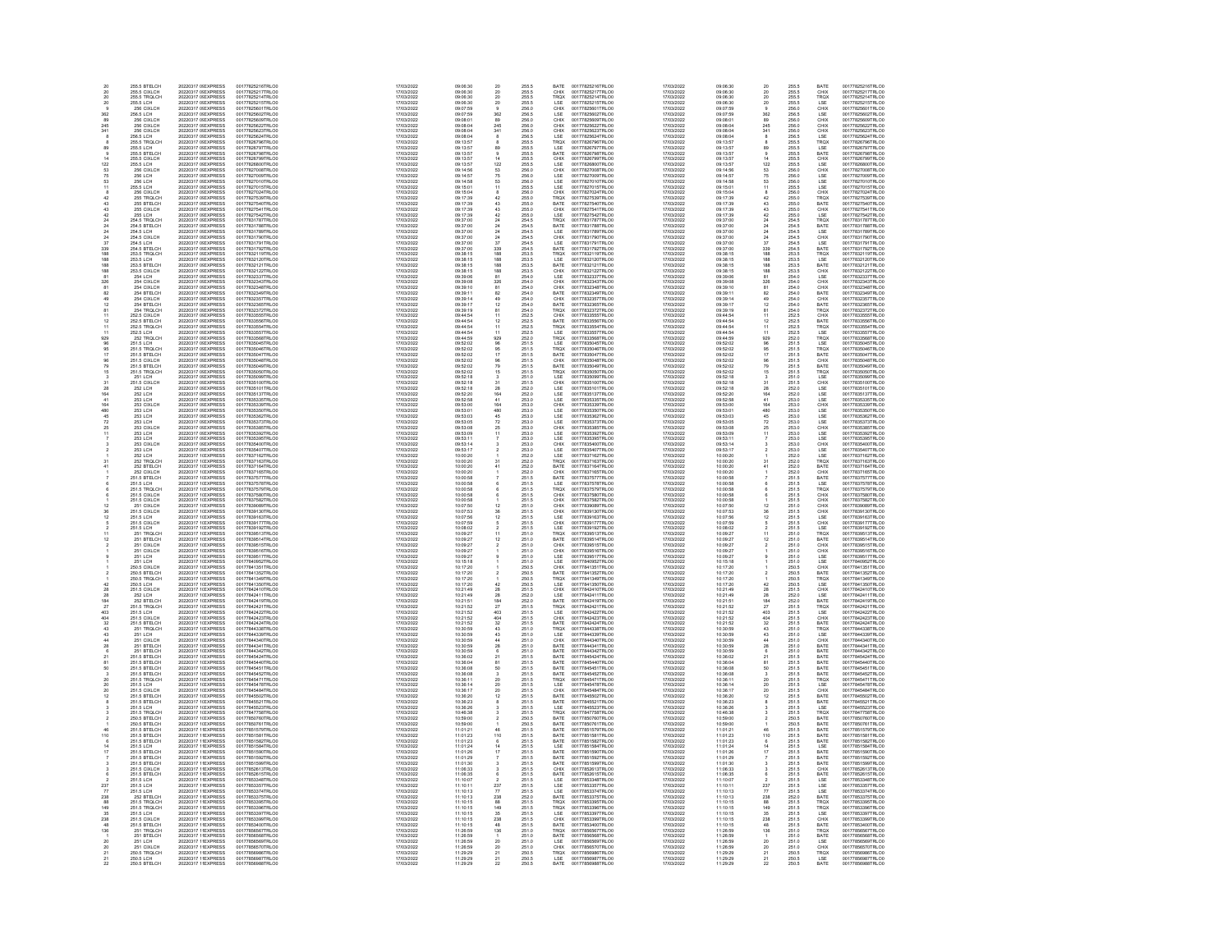| 20                     |                                                                                     |                                                                                                                                                                                                                                    | 00177825216TRLO0                                                                                                     | 17/03/2022                                                         | 09:06:30                                                             | $\infty$                                      | 255.5                                                                                               | BATE                                                                                      | 00177825216TRLO0<br>00177825217TRLO0<br>00177825214TRLO0<br>00177825215TRLO0<br>00177825601TRLO0                     | 17/03/2022                                                         | 09:06:30                                                 | $\alpha$                                                                    | 255.5                                                       | <b>BATE</b>                                                                    | 00177825216TRLO0<br>00177825217TRLO0<br>00177825214TRLO0<br>00177825215TRLO0<br>00177825601TRLO0                     |
|------------------------|-------------------------------------------------------------------------------------|------------------------------------------------------------------------------------------------------------------------------------------------------------------------------------------------------------------------------------|----------------------------------------------------------------------------------------------------------------------|--------------------------------------------------------------------|----------------------------------------------------------------------|-----------------------------------------------|-----------------------------------------------------------------------------------------------------|-------------------------------------------------------------------------------------------|----------------------------------------------------------------------------------------------------------------------|--------------------------------------------------------------------|----------------------------------------------------------|-----------------------------------------------------------------------------|-------------------------------------------------------------|--------------------------------------------------------------------------------|----------------------------------------------------------------------------------------------------------------------|
|                        | 255.5 BTELCH<br>255.5 CIXLCH<br>255.5 TROLCH                                        | 20220317 0! EXPRESS<br>20220317 0! EXPRESS<br>20220317 0! EXPRESS<br>20220317 0! EXPRESS<br>20220317 0! EXPRESS                                                                                                                    | 001778252161RLO0<br>00177825217TRLO0<br>00177825214TRLO0<br>00177825501TRLO0<br>00177825501TRLO0                     | 17/03/2022<br>17/03/2022<br>17/03/2022                             | 09:06:30<br>09:06:30<br>09:06:30                                     | $20$<br>$20$<br>$20$<br>$9$                   | 255.5<br>255.5<br>255.5<br>256.0                                                                    | CHIX<br>TRQX<br>LSE<br>CHIX<br>LSE                                                        |                                                                                                                      | 17/03/2022<br>17/03/2022<br>17/03/2022                             | 09:00:30<br>09:06:30<br>09:06:30                         | $20$<br>$20$<br>$20$<br>$9$                                                 | 255.5<br>255.5<br>255.5<br>256.0                            | CHIX<br>TRQX<br>LSE<br>CHIX<br>LSE                                             |                                                                                                                      |
|                        | 255.5 LCH<br>256 CIXLCH                                                             |                                                                                                                                                                                                                                    |                                                                                                                      | 17/03/2022<br>17/03/2022                                           | 09:06:30<br>09:07:59                                                 |                                               |                                                                                                     |                                                                                           |                                                                                                                      | 17/03/2022<br>17/03/2022                                           | 09:06:30<br>09:07:59                                     |                                                                             |                                                             |                                                                                |                                                                                                                      |
| 362<br>89              | 256.5 LCH                                                                           | 20220317 0! EXPRESS                                                                                                                                                                                                                | 00177825602TRLO0                                                                                                     | 17/03/2022<br>17/03/2022                                           | 09:07:59<br>09:08:01                                                 | 362                                           | 256.5                                                                                               |                                                                                           | 00177825602TRLO0                                                                                                     | 17/03/2022<br>17/03/2022                                           | 09:07:59<br>09:08:01                                     | 362                                                                         | 256.5                                                       |                                                                                | 00177825602TRLO0<br>00177825609TRLO0                                                                                 |
| 245                    | 256 CIXLCH<br>256 CIXLCH                                                            | 20220317 0! EXPRESS<br>20220317 0! EXPRESS                                                                                                                                                                                         | 00177825609TRLO0<br>00177825622TRLO0                                                                                 | 17/03/2022                                                         | 09:08:04                                                             | $\frac{89}{245}$                              | 256.0<br>256.0                                                                                      | CHIX<br>CHIX<br>CHIX<br>LSE<br>IRQX<br>LSE<br>BATE                                        | 00177825609TRLO0<br>00177825622TRLO0                                                                                 | 17/03/2022                                                         | 09:08:04                                                 | $\frac{89}{245}$                                                            | 256.0<br>256.0<br>256.0<br>256.5<br>255.5<br>255.5<br>255.5 | CHIX<br>CHIX<br>CHIX<br>LSE<br>TRQX                                            | 00177825622TRLO0                                                                                                     |
| 34                     | 256 CIXLCH<br>256.5 LCH<br>255.5 TROLCH                                             |                                                                                                                                                                                                                                    | 00177825623TRLO0<br>00177825624TRLO0<br>00177826796TRLO0                                                             | 17/03/2022<br>17/03/2022<br>17/03/2022                             | 09:08:04<br>09:08:04                                                 | $\begin{array}{c} 341 \\ 8 \\ 8 \end{array}$  |                                                                                                     |                                                                                           | 00177825623TRLO0<br>00177825624TRLO0<br>00177826796TRLO0                                                             | 17/03/2022<br>17/03/2022<br>17/03/2022                             | 09:08:04<br>09:08:04                                     | $\begin{array}{c} 341 \\ 8 \\ 8 \end{array}$                                |                                                             |                                                                                | 00177825623TRLO0<br>00177825624TRLO0<br>00177826796TRLO0                                                             |
|                        |                                                                                     | 20220317 01 EXPRESS<br>20220317 01 EXPRESS<br>20220317 01 EXPRESS<br>20220317 01 EXPRESS<br>20220317 01 EXPRESS                                                                                                                    |                                                                                                                      |                                                                    | 09:13:57                                                             |                                               | 256.0<br>256.0<br>256.5<br>255.5<br>255.5                                                           |                                                                                           |                                                                                                                      |                                                                    | 09:13:57                                                 |                                                                             |                                                             |                                                                                |                                                                                                                      |
|                        | 255.5 LCH<br>255.5 BTELCH                                                           |                                                                                                                                                                                                                                    | 00177826797TRLO0<br>00177826798TRLO0                                                                                 | 17/03/2022<br>17/03/2022                                           | 09:13:57<br>09:13:57                                                 | 89<br>9                                       |                                                                                                     |                                                                                           | 00177826797TRLO0<br>00177826798TRLO0                                                                                 | 17/03/2022<br>17/03/2022                                           | 09:13:57<br>09:13:57                                     | $\frac{89}{9}$                                                              |                                                             | LSE<br>BATE                                                                    | 00177826797TRLO0<br>00177826798TRLO0                                                                                 |
| 122                    | 255.5 CIXLCH<br>255.5 LCH                                                           | 20220317 0! EXPRESS<br>20220317 0! EXPRESS                                                                                                                                                                                         | 00177826799TRLO0<br>00177826800TRLO0                                                                                 | 17/03/2022<br>17/03/2022                                           | 09:13:57<br>09:13:57                                                 | 14                                            | 255.5<br>255.5                                                                                      | CHIX<br>LSE<br>CHIX<br>LSE<br>LSE<br>LSE<br>CHIX<br>TRQX                                  | 00177826799TRLO0<br>00177826800TRLO0                                                                                 | 17/03/2022<br>17/03/2022                                           | 09:13:57<br>09:13:57                                     |                                                                             | 255.5<br>255.5                                              | CHIX<br>LSE                                                                    | 00177826799TRLO0<br>00177826800TRLO0                                                                                 |
| 63                     | 256 CIXLCH                                                                          | 20220317 01 EXPRESS<br>20220317 01 EXPRESS<br>20220317 01 EXPRESS<br>20220317 01 EXPRESS<br>20220317 01 EXPRESS<br>20220317 01 EXPRESS<br>20220317 01 EXPRESS                                                                      | 00177827008TRLO0                                                                                                     | 17/03/2022                                                         | 09:14:58                                                             | 122 53 75 53 11 8 42 43 43 42 24 24 24 37 339 | 256.0<br>256.0<br>256.0<br>256.5<br>256.0<br>256.0                                                  |                                                                                           | 00177827008TRLO0                                                                                                     | 17/03/2022                                                         | 09:14:58                                                 | 122 53 75 53 11 8 42                                                        | 256.0<br>256.0<br>256.0<br>255.5<br>256.0<br>255.0          | CHIX<br>LSE<br>LSE<br>LSE<br>CHIX<br>TRQX                                      | 00177827008TRLO0                                                                                                     |
|                        | 256 LCH<br>256 LCH<br>256 LCH<br>256 CIXLCH<br>256 CIXLCH<br>256 CIXLCH             |                                                                                                                                                                                                                                    | 001778270081RLO0<br>00177827010TRLO0<br>00177827016TRLO0<br>00177827024TRLO0                                         | 17/03/2022<br>17/03/2022<br>17/03/2022<br>17/03/2022               | 09:14:57<br>09:14:57<br>09:15:01<br>09:15:04                         |                                               |                                                                                                     |                                                                                           | 001778270081RLO0<br>00177827010TRLO0<br>00177827010TRLO0<br>00177827024TRLO0<br>00177827539TRLO0                     | 17/03/2022<br>17/03/2022<br>17/03/2022<br>17/03/2022               | 09:14:57<br>09:14:57<br>09:15:01<br>09:15:04             |                                                                             |                                                             |                                                                                | 00177827008TRLO0<br>00177827009TRLO0<br>00177827010TRLO0<br>00177827024TRLO0<br>00177827024TRLO0                     |
|                        |                                                                                     |                                                                                                                                                                                                                                    |                                                                                                                      |                                                                    |                                                                      |                                               |                                                                                                     |                                                                                           |                                                                                                                      |                                                                    |                                                          |                                                                             |                                                             |                                                                                |                                                                                                                      |
|                        | 255 TRQLCH                                                                          |                                                                                                                                                                                                                                    | 00177827539TRLO0                                                                                                     | 17/03/2022                                                         | 09:17:39                                                             |                                               |                                                                                                     |                                                                                           |                                                                                                                      | 17/03/2022                                                         | 09:17:39                                                 |                                                                             |                                                             |                                                                                |                                                                                                                      |
| 43<br>43               | 255 BTELCH<br>255 CIXLCH                                                            | 20220317 0! EXPRESS<br>20220317 0! EXPRESS                                                                                                                                                                                         | 00177827540TRLO0<br>00177827541TRLO0                                                                                 | 17/03/2022<br>17/03/2022                                           | 09:17:39<br>09:17:39                                                 |                                               | 255.0<br>255.0                                                                                      | BATE<br>CHIX<br>LSE<br>TRQX<br>BATE<br>LSE<br>CHIX                                        | 00177827540TRLO0<br>00177827541TRLO0                                                                                 | 17/03/2022<br>17/03/2022                                           | 09:17:39<br>09:17:39                                     | $\substack{43 \\ 43}$                                                       | 255.0<br>255.0                                              | BATE<br>CHIX<br>LSE<br>TRQX                                                    | 00177827540TRLO0<br>00177827541TRLO0                                                                                 |
| $\frac{42}{24}$        | 255 LCH<br>254.5 TROLCH                                                             | 20220317 0! EXPRESS<br>20220317 0! EXPRESS                                                                                                                                                                                         | 00177827542TRLO0<br>00177831787TRLO0                                                                                 | 17/03/2022<br>17/03/2022                                           | 09:17:39<br>09:37:00                                                 |                                               | 255.0<br>255.0<br>254.5<br>254.5<br>254.5<br>254.5<br>254.5<br>254.5                                |                                                                                           | 00177827542TRLO0<br>00177831787TRLO0                                                                                 | 17/03/2022<br>17/03/2022                                           | 09:17:39<br>09:37:00                                     | 42 24 24 24 37 339                                                          | 255.0<br>255.0<br>254.5<br>254.5<br>254.5                   |                                                                                | 00177827542TRLOO<br>00177831787TRLOO                                                                                 |
|                        | 254.5 BTELCH                                                                        | 20220317 0: EXPRESS<br>20220317 0: EXPRESS<br>20220317 0: EXPRESS<br>20220317 0: EXPRESS                                                                                                                                           | 00177831788TRLOO<br>00177831789TRLOO<br>00177831790TRLOO                                                             | 7/03/2022                                                          | 09:37:00<br>09:37:00<br>09:37:00<br>09:37:00                         |                                               |                                                                                                     |                                                                                           | 00177831788TRLO0<br>00177831789TRLO0<br>00177831790TRLO0                                                             | 17/03/2022<br>17/03/2022<br>17/03/2022                             | 09:37:00<br>09:37:00<br>09:37:00<br>09:37:00             |                                                                             |                                                             | BATE<br>LSE<br>CHIX                                                            | 00177831788TRLOO<br>00177831789TRLOO<br>00177831790TRLOO                                                             |
|                        | 254.5 LCH<br>254.5 CIXLCH                                                           |                                                                                                                                                                                                                                    |                                                                                                                      | 17/03/2022<br>17/03/2022                                           |                                                                      |                                               |                                                                                                     |                                                                                           |                                                                                                                      |                                                                    |                                                          |                                                                             |                                                             |                                                                                |                                                                                                                      |
|                        | 254.5 LCH<br>254.5 BTELCH                                                           | 20220317 0! EXPRESS<br>20220317 0! EXPRESS                                                                                                                                                                                         | 00177831791TRLO0<br>00177831792TRLO0                                                                                 | 17/03/2022                                                         | 09:37:00                                                             |                                               |                                                                                                     | LSE<br>BATE                                                                               | 00177831791TRLO0<br>00177831792TRLO0                                                                                 | 17/03/2022                                                         | 09:37:00                                                 |                                                                             | 254.5<br>254.5                                              | LSE<br>BATE                                                                    | 00177831791TRLO0<br>00177831792TRLO0                                                                                 |
| 339<br>188             | 253.5 TROLCH                                                                        | 20220317 0! EXPRESS                                                                                                                                                                                                                | 00177832119TRLO0                                                                                                     | 17/03/2022<br>17/03/2022                                           | 09:37:00<br>09:38:15                                                 |                                               | 253.5                                                                                               |                                                                                           | 00177832119TRLO0                                                                                                     | 17/03/2022<br>17/03/2022                                           | 09:37:00<br>09:38:15                                     |                                                                             | 253.5                                                       | TROX                                                                           | 00177832119TRLO0                                                                                                     |
|                        | 253.5 LCH                                                                           | 20220317 01 EXPRESS<br>20220317 01 EXPRESS<br>20220317 01 EXPRESS<br>20220317 01 EXPRESS<br>20220317 01 EXPRESS<br>20220317 01 EXPRESS<br>20220317 01 EXPRESS<br>20220317 01 EXPRESS<br>20220317 01 EXPRESS<br>20220317 01 EXPRESS | 00177832120TRLO0<br>00177832121TRLO0<br>00177832121TRLO0<br>00177832337TRLO0<br>00177832343TRLO0<br>00177832343TRLO0 | 17/03/2022<br>17/03/2022                                           | 09:38:15<br>09:38:15<br>09:38:15<br>09:39:06<br>09:39:06<br>09:39:08 |                                               | 253.5<br>253.5<br>253.5<br>254.0<br>254.0<br>254.0<br>254.0                                         | TROX<br>LSE BATE CHIX<br>LSE CHIX EX<br>LSE CHIX TROX<br>LSE TROX<br>LSE TROX<br>LSE TROX | 00177832120TRLO0<br>00177832121TRLO0<br>00177832121TRLO0<br>00177832337TRLO0<br>00177832343TRLO0<br>00177832343TRLO0 | 17/03/2022                                                         | 09:38:15<br>09:38:15<br>09:38:15<br>09:39:06<br>09:39:08 | 188<br>188<br>188<br>188<br>81<br>326<br>81                                 | 253.5<br>253.5<br>253.5<br>254.0<br>254.0<br>254.0<br>254.0 | <b>ESE<br/> LSE<br/> BATE<br/> CHIX<br/> LSE<br/> CHIX<br/> CHIX<br/> BATE</b> | 00177832120TRLO0<br>00177832121TRLO0<br>00177832121TRLO0<br>00177832337TRLO0<br>00177832343TRLO0                     |
|                        |                                                                                     |                                                                                                                                                                                                                                    |                                                                                                                      |                                                                    |                                                                      |                                               |                                                                                                     |                                                                                           |                                                                                                                      |                                                                    |                                                          |                                                                             |                                                             |                                                                                |                                                                                                                      |
| 326                    | 253.5 LCH<br>253.5 BTELCH<br>253.5 CIXLCH<br>254 CIXLCH<br>254 CIXLCH<br>054 CIXLCH |                                                                                                                                                                                                                                    |                                                                                                                      | 17/03/2022<br>17/03/2022<br>17/03/2022                             |                                                                      |                                               |                                                                                                     |                                                                                           |                                                                                                                      | 17/03/2022<br>17/03/2022<br>17/03/2022<br>17/03/2022<br>17/03/2022 |                                                          |                                                                             |                                                             |                                                                                |                                                                                                                      |
| $\frac{81}{82}$        | 254 CIXLCH<br>254 BTELCH                                                            |                                                                                                                                                                                                                                    | 00177832348TRLO0<br>00177832349TRLO0                                                                                 | 17/03/2022<br>17/03/2022                                           | 09:39:10<br>09:39:11                                                 |                                               |                                                                                                     |                                                                                           | 00177832348TRLO0<br>00177832349TRLO0                                                                                 | 17/03/2022<br>17/03/2022                                           | 09:39:10<br>09:39:11                                     |                                                                             |                                                             |                                                                                | 00177832348TRLO0<br>00177832349TRLO0                                                                                 |
| 49                     | 254 CIXLCH<br>254 BTELCH                                                            | 20220317 0! EXPRESS<br>20220317 0! EXPRESS                                                                                                                                                                                         | 00177832357TRLO0                                                                                                     | 17/03/2022                                                         | 09:39:14<br>09:39:17                                                 |                                               |                                                                                                     |                                                                                           | 00177832357TRLO0<br>00177832365TRLO0                                                                                 | 17/03/2022                                                         | 09:39:14<br>09:39:17                                     | $^{49}_{12}$                                                                | 254.0<br>254.0                                              | CHIX<br>BATE                                                                   | 00177832357TRLO0<br>00177832365TRLO0                                                                                 |
| $\overline{12}$        |                                                                                     |                                                                                                                                                                                                                                    | 00177832365TRLO0                                                                                                     | 17/03/2022                                                         |                                                                      |                                               | $\begin{array}{c} 254.0 \\ 254.0 \\ 254.0 \\ 252.5 \\ 252.5 \\ 252.5 \\ 252.5 \\ 252.0 \end{array}$ |                                                                                           |                                                                                                                      | 17/03/2022                                                         |                                                          | $\overline{8}$                                                              |                                                             |                                                                                |                                                                                                                      |
|                        | 254 TRQLCH<br>252.5 CIXLCH<br>252.5 BTELCH                                          | 20220317 0! EXPRESS<br>20220317 0! EXPRESS<br>20220317 0! EXPRESS                                                                                                                                                                  | 001778323851FRLO0<br>00177832372TFRLO0<br>00177833555TFRLO0<br>00177833556TFRLO0<br>00177833554TFRLO0                | 17/03/2022<br>17/03/2022<br>17/03/2022                             | 09:39:19<br>09:39:19<br>09:44:54<br>09:44:54<br>09:44:54             |                                               |                                                                                                     |                                                                                           | 00177832372TRLO0<br>00177833555TRLO0<br>00177833556TRLO0                                                             | 17/03/2022<br>17/03/2022<br>17/03/2022                             | 09:39:19<br>09:44:54<br>09:44:54                         |                                                                             | 254.0<br>254.0<br>252.5<br>252.5<br>252.5<br>252.0          | TRQX<br>CHIX<br>BATE<br>TRQX<br>LSE                                            | 001778323651RLO0<br>00177832372TRLO0<br>00177833555TRLO0<br>00177833556TRLO0<br>00177833554TRLO0                     |
|                        | 252.5 TROLCH                                                                        | 20220317 0! EXPRESS<br>20220317 0! EXPRESS                                                                                                                                                                                         |                                                                                                                      | 17/03/2022                                                         |                                                                      | $\frac{11}{11}$                               |                                                                                                     |                                                                                           | 00177833554TRLO0<br>00177833557TRLO0                                                                                 | 17/03/2022                                                         | 09:44:54<br>09:44:54                                     | $\frac{11}{11}$                                                             |                                                             |                                                                                |                                                                                                                      |
| 925                    | 252.5 LCH<br>252 TROLCH                                                             | 20220317 0! EXPRESS                                                                                                                                                                                                                | 00177833568TRLO0                                                                                                     | 17/03/2022<br>17/03/2022                                           | 09:44:59                                                             |                                               |                                                                                                     |                                                                                           | 00177833568TRLO0                                                                                                     | 17/03/2022<br>17/03/2022                                           | 09:44:59                                                 | 929                                                                         |                                                             | TROX                                                                           | 00177833568TRLO0                                                                                                     |
| $\frac{96}{95}$        | <b>251.5 LCH</b><br>251.5 TROLCH                                                    | 20220317 0! EXPRESS<br>20220317 0! EXPRESS                                                                                                                                                                                         | 00177835045TRLO0<br>00177835046TRLO0                                                                                 | 17/03/2022<br>17/03/2022                                           | 09:52:02<br>09:52:02                                                 |                                               |                                                                                                     |                                                                                           | 00177835045TRLO0<br>00177835046TRLO0                                                                                 | 17/03/2022<br>17/03/2022                                           | 09:52:02<br>09:52:02                                     |                                                                             |                                                             | LSE<br>TROX                                                                    | 00177835045TRLO0<br>00177835046TRLOO                                                                                 |
|                        | 251.5 BTELCH<br>251.5 CIXLCH                                                        |                                                                                                                                                                                                                                    |                                                                                                                      |                                                                    |                                                                      |                                               |                                                                                                     |                                                                                           |                                                                                                                      |                                                                    |                                                          |                                                                             |                                                             |                                                                                |                                                                                                                      |
|                        | 251.5 BTELCH                                                                        |                                                                                                                                                                                                                                    | 001778350461RECO<br>00177835048TRLO0<br>00177835048TRLO0                                                             | 17/03/2022<br>17/03/2022<br>17/03/2022                             | 09:52:02<br>09:52:02<br>09:52:02<br>09:52:02                         |                                               |                                                                                                     |                                                                                           | 001778350461RLCO<br>00177835048TRLCO<br>00177835048TRLCO                                                             | 17/03/2022<br>17/03/2022<br>17/03/2022                             | 09:52:02<br>09:52:02<br>09:52:02                         |                                                                             |                                                             |                                                                                | 00177835048TRLO0<br>00177835048TRLO0<br>00177835048TRLO0                                                             |
|                        | 251.5 TROLCH<br>251 LCH                                                             | 20220317 01 EXPRESS<br>20220317 01 EXPRESS<br>20220317 01 EXPRESS<br>20220317 01 EXPRESS<br>20220317 01 EXPRESS                                                                                                                    | 00177835050TRLO0<br>00177835099TRLO0                                                                                 | 17/03/2022                                                         | 09:52:02                                                             | 929 96 95 17 96 79 15 3                       | 252.0<br>251.5<br>251.5<br>251.5<br>251.5<br>251.5<br>251.0                                         |                                                                                           | 00177835050TRLO0<br>00177835099TRLO0                                                                                 | 17/03/2022                                                         | 09:52:02                                                 | 96<br>95<br>17<br>96<br>79<br>15<br>3                                       | 251.5<br>251.5<br>251.5<br>251.5<br>251.5<br>251.5<br>251.0 | ENDATE<br>BATE<br>CHIX<br>BATE<br>TRQX<br>LSE                                  | 00177835050TRLO0<br>00177835099TRLO0                                                                                 |
|                        |                                                                                     |                                                                                                                                                                                                                                    |                                                                                                                      | 17/03/2022<br>17/03/2022                                           | 09:52:18<br>09:52:18                                                 |                                               |                                                                                                     | LSE<br>TROX<br>BATE<br>CHIX<br>BATE<br>TROX<br>LSE<br>CHIX<br>LSE<br>CHIX                 |                                                                                                                      | 17/03/2022<br>17/03/2022                                           | 09:52:18<br>09:52:18                                     |                                                                             |                                                             |                                                                                |                                                                                                                      |
| 1 <sub>R4</sub>        | 251.5 CIXLCH<br>252 LCH<br>252 LCH                                                  | 20220317 0! EXPRESS<br>20220317 0! EXPRESS<br>20220317 0FEXPRESS                                                                                                                                                                   | 00177835100TRLO0<br>00177835101TRLO0<br>00177835137TRLO0                                                             | 17/03/2022<br>17/03/2022                                           | 09:52:18<br>09:52:20                                                 |                                               | 251.5<br>252.0                                                                                      |                                                                                           | 00177835100TRLO0<br>00177835101TRLO0<br>00177835137TRLO0                                                             | 17/03/2022<br>17/03/2022                                           | 09:52:18<br>09:52:20                                     | $\frac{31}{28}$<br>164                                                      | 251.5<br>252.0                                              |                                                                                | 00177835100TRLO0<br>00177835101TRLO0<br>00177835137TRLO0                                                             |
|                        | 253 LCH<br>253 LCH<br>253 CIXLCH                                                    | 20220317 01 EXPRESS<br>20220317 01 EXPRESS<br>20220317 01 EXPRESS<br>20220317 01 EXPRESS<br>20220317 01 EXPRESS<br>20220317 01 EXPRESS                                                                                             | 00177835335TRLO0<br>00177835335TRLO0<br>00177835350TRLO0<br>00177835350TRLO0<br>00177835362TRLO0                     |                                                                    | 09:52:58<br>09:53:00<br>09:53:01<br>09:53:01<br>09:53:03             | 31 28 164 11 48 48 45 72                      | 252.0<br>252.0<br>253.0<br>253.0<br>253.0<br>253.0                                                  | LSE<br>LSE<br>CHIX<br>LSE<br>LSE<br>LSE                                                   | 0017783533171KL00<br>00177835335TRL00<br>00177835350TRL00<br>00177835362TRL00                                        | 17/03/2022<br>17/03/2022<br>17/03/2022<br>17/03/2022               | 09:52:20<br>09:52:58<br>09:53:00<br>09:53:01<br>09:53:03 |                                                                             | 252.0<br>253.0<br>253.0<br>253.0<br>253.0<br>253.0          | CHIX<br>LSE<br>LSE<br>LSE<br>LSE<br>LSE<br>LSE                                 | 00177835335TRLO0<br>00177835335TRLO0<br>00177835350TRLO0<br>00177835350TRLO0                                         |
|                        |                                                                                     |                                                                                                                                                                                                                                    |                                                                                                                      | 17/03/2022<br>17/03/2022<br>17/03/2022                             |                                                                      |                                               |                                                                                                     |                                                                                           |                                                                                                                      |                                                                    |                                                          | $\begin{array}{c} 41 \\ 164 \\ 480 \\ 45 \\ 72 \end{array}$                 |                                                             |                                                                                |                                                                                                                      |
| $\frac{480}{45}$<br>72 | 253 LCH<br>253 LCH                                                                  |                                                                                                                                                                                                                                    |                                                                                                                      | 17/03/2022                                                         |                                                                      |                                               |                                                                                                     |                                                                                           |                                                                                                                      |                                                                    |                                                          |                                                                             |                                                             |                                                                                |                                                                                                                      |
|                        | 253 LCH<br>253 CIXLCH                                                               | 20220317 0! EXPRESS                                                                                                                                                                                                                | 00177835373TRLO0<br>00177835385TRLO0                                                                                 | 17/03/2022<br>17/03/2022                                           | 09:53:05<br>09:53:08                                                 | 25<br>11                                      | 253.0<br>253.0                                                                                      | CHIX<br>LSE                                                                               | 00177835373TRLO0<br>00177835385TRLO0                                                                                 | 17/03/2022<br>17/03/2022                                           | 09:53:05<br>09:53:08                                     | $\frac{25}{11}$                                                             | 253.0<br>253.0                                              | CHIX<br>LSE                                                                    | 00177835373TRLO0<br>00177835385TRLO0                                                                                 |
|                        | 253 LCH                                                                             | 20220317 0! EXPRESS                                                                                                                                                                                                                | 00177835392TRLO0                                                                                                     | 17/03/2022<br>17/03/2022                                           | 09:53:09<br>09:53:11                                                 |                                               |                                                                                                     |                                                                                           | 00177835392TRLO0                                                                                                     | 17/03/2022<br>17/03/2022                                           | 09:53:09<br>09:53:11                                     |                                                                             |                                                             |                                                                                | 00177835392TRLO0                                                                                                     |
|                        | 253 LCH<br>253 CIXLCH                                                               | 20220317 01 EXPRESS<br>20220317 01 EXPRESS<br>20220317 01 EXPRESS<br>20220317 11 EXPRESS<br>20220317 11 EXPRESS                                                                                                                    | 00177835392TRLO0<br>00177835395TRLO0<br>00177835400TRLO0<br>00177837162TRLO0<br>00177837163TRLO0                     | 17/03/2022                                                         | 09:53:14                                                             |                                               | 253.0<br>253.0<br>253.0<br>252.0<br>252.0                                                           |                                                                                           | 001778353921RLO0<br>00177835395TRLO0<br>00177835407TRLO0<br>00177837162TRLO0<br>00177837163TRLO0                     | 17/03/2022                                                         | 09:53:14                                                 |                                                                             | 253.0<br>253.0<br>253.0<br>252.0<br>252.0<br>252.0<br>252.0 | LSE<br>LSE<br>CHIX<br>LSE<br>LSE<br>TROX<br>BATE<br>CHIX                       | 00177835392TRLO0<br>00177835395TRLO0<br>00177835400TRLO0<br>00177837162TRLO0<br>00177837163TRLO0                     |
|                        | 253 LCH<br>253 LCH<br>252 LCH<br>252 TRQLCH                                         |                                                                                                                                                                                                                                    |                                                                                                                      | 7/03/2022<br>17/03/2022                                            | 09:53:17                                                             |                                               |                                                                                                     |                                                                                           |                                                                                                                      | 17/03/2022                                                         | 09:53:17                                                 |                                                                             |                                                             |                                                                                |                                                                                                                      |
| 41                     |                                                                                     |                                                                                                                                                                                                                                    |                                                                                                                      | 17/03/2022<br>17/03/2022                                           | 10:00:20<br>10:00:20<br>10:00:20                                     | $\frac{31}{41}$                               |                                                                                                     |                                                                                           |                                                                                                                      | 17/03/2022<br>17/03/2022<br>17/03/2022                             | 10:00:20<br>10:00:20<br>10:00:20                         | $\overline{31}$<br>41                                                       |                                                             |                                                                                |                                                                                                                      |
|                        | 252 BTELCH<br>252 CIXLCH                                                            | 20220317 1(EXPRESS<br>20220317 1(EXPRESS                                                                                                                                                                                           | 00177837164TRLO0<br>00177837165TRLO0                                                                                 | 17/03/2022                                                         | 10:00:20                                                             |                                               | 252.0<br>252.0                                                                                      |                                                                                           | 00177837164TRLO0<br>00177837165TRLO0                                                                                 | 17/03/2022                                                         | 10:00:20                                                 |                                                                             |                                                             |                                                                                | 00177837164TRLO0<br>00177837165TRLO0                                                                                 |
|                        | 251.5 BTELCH<br>251.5 LCH<br>251.5 LCH<br>251.5 TRQLCH                              | 20220317 1(EXPRESS<br>20220317 1(EXPRESS<br>20220317 1(EXPRESS                                                                                                                                                                     | 00177837577TRLO0                                                                                                     | 17/03/2022<br>17/03/2022<br>17/03/2022                             | 10:00:58<br>10:00:58<br>10:00:58                                     |                                               |                                                                                                     |                                                                                           | 00177837577TRLO0                                                                                                     | 17/03/2022<br>17/03/2022<br>17/03/2022                             | 10:00:58<br>10:00:58                                     |                                                                             |                                                             | BATE                                                                           | 00177837577TRLO0                                                                                                     |
|                        |                                                                                     |                                                                                                                                                                                                                                    | 001778375771RLO0<br>00177837578TRLO0<br>00177837579TRLO0<br>00177837582TRLO0<br>00177839089TRLO0                     |                                                                    |                                                                      |                                               | 251.5<br>251.5<br>251.5<br>251.5<br>251.5<br>251.0                                                  | <b>SECRETARY BELISES</b><br>SECRETARY BELISES<br>SECRETARY BELISES                        | 00177837578TRLO0<br>00177837578TRLO0<br>00177837580TRLO0<br>00177837582TRLO0<br>00177839089TRLO0                     |                                                                    | 10:00:58                                                 |                                                                             | 251.5<br>251.5<br>251.5<br>251.5<br>251.5<br>251.0          | <b>LSE<br/> TROX<br/> CHIX<br/> CHIX<br/> CHIX<br/> LSE</b>                    | 00177837578TRLO0<br>00177837579TRLO0<br>00177837580TRLO0<br>00177837582TRLO0<br>00177839089TRLO0                     |
|                        | 281.8 TRUCCH<br>251.5 CIXLCH<br>251.5 CIXLCH                                        | 20220317 11 EXPRESS<br>20220317 11 EXPRESS<br>20220317 11 EXPRESS<br>20220317 11 EXPRESS                                                                                                                                           |                                                                                                                      | 17/03/2022<br>17/03/2022<br>17/03/2022                             | 10:00:58<br>10:00:58<br>10:07:50                                     |                                               |                                                                                                     |                                                                                           |                                                                                                                      | 17/03/2022<br>17/03/2022<br>17/03/2022                             | 10:00:58<br>10:00:58                                     |                                                                             |                                                             |                                                                                |                                                                                                                      |
|                        | 251.5 CIXLCH                                                                        | 20220317 1(EXPRESS                                                                                                                                                                                                                 | 00177839130TRLO0                                                                                                     | 17/03/2022<br>17/03/2022                                           | 10:07:53                                                             | 12                                            |                                                                                                     |                                                                                           |                                                                                                                      | 17/03/2022<br>17/03/2022                                           | 10:07:50<br>10:07:53                                     | 12                                                                          |                                                             |                                                                                | 00177839130TRLO0                                                                                                     |
| 36<br>12               | 251.5 LCH<br>251.5 CIXI CH                                                          | 20220317 1(EXPRESS<br>20220317 1(EXPRESS                                                                                                                                                                                           | 00177839163TRLO0<br>00177839177TRLO0                                                                                 | 17/03/2022<br>17/03/2022                                           | 10:07:56<br>10:07:59                                                 | $\frac{36}{12}$                               | 251.5<br>251.5                                                                                      |                                                                                           | 00177839130TRLO0<br>00177839163TRLO0<br>00177839177TRLO0                                                             | 17/03/2022<br>17/03/2022                                           | 10:07:56<br>10:07:59                                     | $\frac{36}{12}$                                                             | 251.5<br>251.5                                              |                                                                                | 00177839163TRLO0                                                                                                     |
|                        | 251 S LCH                                                                           | 20220317 1(EXPRESS                                                                                                                                                                                                                 | 00177839192TRLO0                                                                                                     | 17/03/2022                                                         | 10:08:02                                                             |                                               |                                                                                                     |                                                                                           | 00177839192TRLO0                                                                                                     | 17/03/2022                                                         | 10:08:02                                                 |                                                                             | 251.5<br>251.5                                              | CHIX<br>LSE                                                                    | 00177839177TRLO0<br>00177839192TRLO0                                                                                 |
|                        |                                                                                     |                                                                                                                                                                                                                                    |                                                                                                                      | 17/03/2022<br>17/03/2022<br>17/03/2022                             | to:08:02<br>10:09:27<br>10:09:27                                     |                                               |                                                                                                     |                                                                                           |                                                                                                                      | 17/03/2022<br>17/03/2022<br>17/03/2022                             | 10:08:02<br>10:09:27<br>10:09:27                         |                                                                             |                                                             |                                                                                |                                                                                                                      |
|                        | 251.5 LCH<br>251 TRQLCH<br>251 BTELCH<br>251 CIXLCH<br>251 CIXLCH<br>251 LCH        | 20220317 11 EXPRESS<br>20220317 11 EXPRESS<br>20220317 11 EXPRESS<br>20220317 11 EXPRESS<br>20220317 11 EXPRESS<br>20220317 11 EXPRESS                                                                                             | 001778391921RLO0<br>00177839513TRLO0<br>00177839514TRLO0<br>00177839515TRLO0<br>00177839515TRLO0<br>00177839517TRLO0 | 17/03/2022                                                         | 10:09:27                                                             |                                               | 251.5<br>251.5<br>251.0<br>251.0<br>251.0<br>251.0<br>251.0                                         | CHIX<br>LSE<br>TROX<br>BATE<br>CHIX<br>CHIX<br>LSE<br>LSE<br>LSE                          | 001778391921RLO0<br>00177839513TRLO0<br>00177839514TRLO0<br>00177839515TRLO0<br>00177839515TRLO0<br>00177839517TRLO0 | 17/03/2022                                                         | 10:09:27                                                 |                                                                             | 251.5<br>251.0<br>251.0<br>251.0<br>251.0<br>251.0          | LSE<br>TROX<br>BATE<br>CHIX<br>CHIX<br>LSE<br>LSE                              | 001778391921RLO0<br>00177839513TRLO0<br>00177839514TRLO0<br>00177839515TRLO0<br>00177839516TRLO0<br>00177839517TRLO0 |
|                        |                                                                                     |                                                                                                                                                                                                                                    |                                                                                                                      | 17/03/2022                                                         | 10:09:27                                                             |                                               |                                                                                                     |                                                                                           |                                                                                                                      | 17/03/2022                                                         | 10:09:27                                                 |                                                                             |                                                             |                                                                                |                                                                                                                      |
|                        | <b>251 LCH</b><br>250.5 CIXI CH                                                     | 20220317 1(EXPRESS<br>20220317 1(EXPRESS                                                                                                                                                                                           | 00177840952TRLO0                                                                                                     | 17/03/2022<br>17/03/2022                                           | 10:15:18                                                             |                                               | 251.0                                                                                               |                                                                                           | 00177840952TRLO0                                                                                                     | 17/03/2022<br>17/03/2022                                           | 10:15:18<br>10:17:20                                     |                                                                             | 251.0                                                       |                                                                                | 00177840952TRLO0                                                                                                     |
|                        | 250 S RTELCH                                                                        | 20220317 1(EXPRESS                                                                                                                                                                                                                 | 00177841351TRLO0<br>00177841352TRLO0                                                                                 | 17/03/2022                                                         | 10:17:20<br>10:17:20                                                 |                                               | 250.5<br>250.5                                                                                      | LSE<br>CHIX<br>BATE<br>TRQX<br>LSE<br>CHIX<br>LSE<br>BATE                                 | 00177841351TRLOO<br>00177841352TRLOO                                                                                 | 17/03/2022                                                         | 10:17:20                                                 |                                                                             | 250.5<br>250.5                                              | CHIX<br>BATE                                                                   | 00177841351TRLO0<br>00177841352TRLO0                                                                                 |
|                        | 250.5 TROLCH                                                                        | 20220317 11 EXPRESS<br>20220317 11 EXPRESS<br>20220317 11 EXPRESS                                                                                                                                                                  | 001778413621REO0<br>00177841350TRLO0<br>00177842410TRLO0                                                             | 17/03/2022<br>17/03/2022<br>17/03/2022                             | 10:17:20<br>10:17:20<br>10:17:20<br>10:21:49                         | $\frac{1}{42}$                                | 250.5<br>250.5<br>250.5<br>251.5                                                                    |                                                                                           | 00177841349TRLO0<br>00177841350TRLO0<br>00177842410TRLO0                                                             | 17/03/2022<br>17/03/2022<br>17/03/2022                             | 10.17:20<br>10:17:20<br>10:21:49                         | $\frac{42}{28}$<br>$\frac{28}{184}$                                         | 250.5<br>250.5<br>250.5<br>251.5<br>252.0<br>252.0          | EROX<br>LSE<br>CHIX<br>LSE<br>BATE                                             | 001778413621RE00<br>00177841350TRLO0<br>00177842410TRLO0                                                             |
|                        | <b>251.5 CIXLCH</b>                                                                 |                                                                                                                                                                                                                                    |                                                                                                                      | 17/03/2022                                                         |                                                                      |                                               |                                                                                                     |                                                                                           |                                                                                                                      | 17/03/2022                                                         | 10:21:49                                                 |                                                                             |                                                             |                                                                                |                                                                                                                      |
| 184                    | 252 LCH<br>252 BTELCH<br>251.5 TROLCH                                               | 20220317 1(EXPRESS<br>20220317 1(EXPRESS<br>20220317 1(EXPRESS                                                                                                                                                                     | 00177842411TRLO0<br>00177842419TRLO0<br>00177842421TRLO0                                                             | 17/03/2022<br>17/03/2022                                           | 10:21:49<br>10:21:51<br>10:21:52                                     | $\frac{28}{184}$                              | 252.0<br>252.0                                                                                      |                                                                                           | 00177842411TRLO0<br>00177842419TRLO0<br>00177842421TRLO0                                                             | 17/03/2022<br>17/03/2022                                           | 10:21:51<br>10:21:52                                     |                                                                             |                                                             |                                                                                | 00177842411TRLO0<br>00177842419TRLO0<br>00177842421TRLO0                                                             |
| 403                    | 251.5 LCH                                                                           | 20220317 1(EXPRESS                                                                                                                                                                                                                 | 00177842422TRLO0                                                                                                     | 17/03/2022                                                         | 10:21:52                                                             | $\frac{27}{403}$                              | 251.5<br>251.5                                                                                      |                                                                                           | 00177842422TRLO0                                                                                                     | 17/03/2022                                                         | 10:21:52                                                 | $\frac{27}{403}$                                                            | 251.5<br>251.5                                              | TRQX<br>LSE                                                                    | 00177842422TRLO0                                                                                                     |
| ana                    | 251.5 CIXI CH                                                                       | 20220317 11 EXPRESS<br>20220317 11 EXPRESS<br>20220317 11 EXPRESS<br>20220317 11 EXPRESS<br>20220317 11 EXPRESS<br>20220317 11 EXPRESS<br>20220317 11 EXPRESS                                                                      | 00177842423TRLO0                                                                                                     | 17/03/2022                                                         | 10:21:52                                                             | 404 32 43 44 44 28 6 21 81 50 3 20 20         | 251.5<br>251.5<br>251.5<br>251.0<br>251.0<br>251.0                                                  | TROX<br>LSE<br>CHIX<br>BATE<br>TROX<br>LSE<br>CHIX<br>BATE                                | 00177842423TRLOD                                                                                                     | 17/03/2022                                                         | $10-21-52$                                               | $\begin{array}{r} 404 \\ 32 \\ 43 \\ 43 \\ 44 \\ 28 \\ 6 \\ 21 \end{array}$ | 251.5<br>251.5<br>251.6<br>251.0<br>251.0<br>251.0          | CHIX                                                                           | 001778424221RL00<br>00177842423TRL00<br>00177842424TRL00<br>00177844338TRL00<br>00177844340TRL00<br>00177844340TRL00 |
|                        | 251.5 CIXLCH<br>251.5 BTELCH<br>251 LCH<br>251 CIXLCH<br>251 CIXLCH<br>251 CIXLCH   |                                                                                                                                                                                                                                    | 001778424231RLO0<br>00177842424TRLO0<br>00177844338TRLO0<br>00177844339TRLO0<br>00177844340TRLO0<br>00177844341TRLO0 | 17/03/2022<br>17/03/2022<br>17/03/2022<br>17/03/2022<br>17/03/2022 | 10:21:52<br>10:21:52<br>10:30:59<br>10:30:59<br>10:30:59             |                                               |                                                                                                     |                                                                                           | 001778424231RLO0<br>00177842424TRLO0<br>00177844338TRLO0<br>00177844339TRLO0<br>00177844340TRLO0<br>00177844341TRLO0 | 17/03/2022<br>17/03/2022<br>17/03/2022<br>17/03/2022               | 10:21:52<br>10:21:52<br>10:30:59<br>10:30:59<br>10:30:59 |                                                                             |                                                             | EHIA<br>BATE<br>TROX<br>LSE<br>CHIX<br>BATE                                    |                                                                                                                      |
|                        |                                                                                     |                                                                                                                                                                                                                                    |                                                                                                                      |                                                                    |                                                                      |                                               |                                                                                                     |                                                                                           |                                                                                                                      |                                                                    |                                                          |                                                                             |                                                             |                                                                                |                                                                                                                      |
|                        | 251 BTELCH                                                                          |                                                                                                                                                                                                                                    |                                                                                                                      | 17/03/2022<br>17/03/2022                                           | 10:30:59<br>10:30:59                                                 |                                               |                                                                                                     |                                                                                           |                                                                                                                      | 17/03/2022<br>17/03/2022                                           | 10:30:59<br>10:30:59                                     |                                                                             |                                                             |                                                                                | 00177844341TRLO0                                                                                                     |
|                        | 251 BTELCH<br>251.5 BTELCH                                                          | 20220317 1(EXPRESS<br>20220317 1(EXPRESS                                                                                                                                                                                           | 00177844342TRLO0<br>00177845424TRLO0                                                                                 | 17/03/2022<br>17/03/2022                                           | 10:36:02                                                             |                                               | 251.0<br>251.5                                                                                      | BATE<br>BATE                                                                              | 00177844342TRLO0<br>00177845424TRLO0                                                                                 | 17/03/2022                                                         | 10:36:02                                                 |                                                                             | 251.0<br>251.5                                              | BATE<br>BATE                                                                   | 00177844342TRLO0<br>00177845424TRLO0                                                                                 |
| $\frac{81}{50}$        | 251.5 BTELCH<br>251.5 BTELCH                                                        | 20220317 1(EXPRESS<br>20220317 1(EXPRESS                                                                                                                                                                                           | 001778454241RL00<br>00177845440TRL00<br>00177845451TRL00<br>00177845471TRL00<br>00177845478TRL00                     | 17/03/2022                                                         | 10:36:04<br>10:36:08                                                 |                                               | 251.5<br>251.5<br>251.5<br>251.5<br>251.5                                                           | BATE<br>BATE<br>BATE<br>TRQX<br>LSE<br>CHIX<br>BATE<br>BATE                               | 00177845440TRLO0<br>00177845451TRLO0                                                                                 | 17/03/2022<br>17/03/2022                                           | 10:36:04<br>10:36:08                                     | $\begin{array}{c} 81 \\ 50 \\ 3 \end{array}$                                | 251.5<br>251.5<br>251.5<br>251.5<br>251.5                   | BATE<br>BATE<br>BATE<br>TROX<br>LSE                                            | 00177845440TRLO0<br>00177845440TRLO0<br>00177845451TRLO0<br>00177845471TRLO0<br>00177845478TRLO0                     |
|                        | 251.5 BTELCH                                                                        | 20220317 11 EXPRESS<br>20220317 11 EXPRESS<br>20220317 11 EXPRESS                                                                                                                                                                  |                                                                                                                      | 7/03/2022<br>17/03/2022                                            | 0:36:08                                                              |                                               |                                                                                                     |                                                                                           | 001778454511RLCO<br>00177845471TRLO0<br>00177845478TRLO0                                                             | 17/03/2022                                                         | 10:36:08                                                 |                                                                             |                                                             |                                                                                |                                                                                                                      |
| $\frac{20}{20}$        | 251.5 TRQLCH<br>251.5 LCH                                                           |                                                                                                                                                                                                                                    |                                                                                                                      | 17/03/2022                                                         | 10:36:11<br>10:36:14                                                 |                                               |                                                                                                     |                                                                                           |                                                                                                                      | 17/03/2022<br>17/03/2022                                           | 10:36:11<br>10:36:14                                     | $\frac{20}{20}$                                                             |                                                             |                                                                                |                                                                                                                      |
| $^{20}_{12}$           | 251.5 CIXLCH<br>251.5 BTELCH                                                        | 20220317 1(EXPRESS<br>20220317 1(EXPRESS                                                                                                                                                                                           | 00177845484TRLO0<br>00177845502TRLO0                                                                                 | 17/03/2022<br>17/03/2022                                           | 10:36:17<br>10:36:20                                                 | $^{20}_{12}$                                  | 251.5<br>251.5                                                                                      |                                                                                           | 00177845484TRLO0<br>00177845502TRLO0                                                                                 | 17/03/2022<br>17/03/2022                                           | 10:36:17<br>10:36:20                                     | $^{20}_{12}$                                                                | 251.5<br>251.5                                              | CHIX<br>BATE                                                                   | 00177845484TRLO0<br>00177845502TRLO0                                                                                 |
|                        | 251.5 BTELCH                                                                        | 20220317 1(EXPRESS                                                                                                                                                                                                                 | 00177845521TRLO0                                                                                                     | 17/03/2022                                                         | 10:36:23                                                             |                                               |                                                                                                     |                                                                                           | 00177845521TRLO0                                                                                                     | 17/03/2022                                                         | 10:36:23                                                 |                                                                             | 251.5                                                       | BATE                                                                           | 00177845521TRLO0                                                                                                     |
|                        | 251.5 BTELCH<br>251.5 TRQLCH<br>250.5 BTELCH<br>251.5 BTELCH<br>251.5 BTELCH        | 20220317 11 EXPRESS<br>20220317 11 EXPRESS<br>20220317 11 EXPRESS<br>20220317 11 EXPRESS<br>20220317 11 EXPRESS<br>20220317 1 EXPRESS                                                                                              | 00177845521TRLO0<br>00177845523TRLO0<br>00177847758TRLO0<br>00177850760TRLO0<br>00177851579TRLO0<br>00177851579TRLO0 | 17703/2022<br>17703/2022<br>17703/2022<br>17703/2022               | 10:36:26<br>10:46:38                                                 |                                               | 251.5<br>251.5<br>251.5<br>250.5<br>250.5<br>250.5                                                  | <b>LSE<br/>TROX<br/>BATE<br/>BATE</b><br>BATE                                             | 00177845521TRL00<br>00177845523TRL00<br>00177847758TRL00<br>00177850760TRL00<br>00177851579TRL00                     | 17/03/2022<br>17/03/2022<br>17/03/2022<br>17/03/2022<br>17/03/2022 | 0:36:26<br>10:46:38                                      |                                                                             | 251.5<br>251.5<br>251.5<br>250.5<br>250.5<br>251.5          | LSE<br>TRQX<br>BATE<br>BATE<br>BATE                                            | 00177845521TRL00<br>00177845523TRL00<br>00177847758TRL00<br>00177850760TRL00<br>00177851579TRL00<br>00177851579TRL00 |
|                        |                                                                                     |                                                                                                                                                                                                                                    |                                                                                                                      |                                                                    | 10:59:00<br>10:59:00<br>11:01:21                                     |                                               |                                                                                                     |                                                                                           |                                                                                                                      |                                                                    | 10:40:38<br>10:59:00<br>10:59:00                         |                                                                             |                                                             |                                                                                |                                                                                                                      |
| 46<br>10               | 251.5 BTELCH                                                                        |                                                                                                                                                                                                                                    |                                                                                                                      | 17/03/2022<br>17/03/2022                                           | 11:01:23                                                             | 46                                            |                                                                                                     |                                                                                           |                                                                                                                      | 17/03/2022                                                         | 11:01:21<br>11:01:23                                     |                                                                             |                                                             |                                                                                |                                                                                                                      |
|                        | 251.5 BTELCH                                                                        | 20220317 1 EXPRESS<br>20220317 1 EXPRESS                                                                                                                                                                                           | 00177851581TRLO0<br>00177851582TRLO0                                                                                 | 17/03/2022                                                         | 11:01:23                                                             | $^{110}_{\; 6}$                               | 251.5<br>251.5                                                                                      | BATE<br>BATE                                                                              | 00177851581TRLO0<br>00177851582TRLO0                                                                                 | 17/03/2022                                                         | 11:01:23                                                 | $\begin{array}{c} 110 \\ 6 \end{array}$                                     | 251.5<br>251.5                                              | BATE<br>BATE                                                                   | 00177851581TRLO0<br>00177851582TRLO0                                                                                 |
|                        | 251.5 LCH<br>251.5 RTFLCH                                                           | 20220317 1: EXPRESS<br>20220317 1: EXPRESS                                                                                                                                                                                         | 00177851584TRLO0<br>00177851590TRLO0                                                                                 | 17/03/2022<br>17/03/2022                                           | 11:01:24<br>11.01.26                                                 | $\frac{1}{17}$                                | 251.5<br>251.5                                                                                      | LSE<br>BATE<br>BATE<br>BATE<br>CHIX<br>BATE<br>LSE<br>LSE                                 | 00177851584TRLO0<br>00177851590TRLO0                                                                                 | 17/03/2022<br>17/03/2022                                           | 11:01:24<br>11:01:26                                     | $\frac{14}{17}$                                                             | 251.5<br>251.5                                              | LSE<br>BATE                                                                    | 00177851584TRLO0<br>00177851590TRLO0                                                                                 |
|                        | 251.5 BTELCH<br>251.5 BTELCH<br>251.5 BTELCH<br>251.5 BTELCH<br>251.5 BTELCH        | 20220317 1 EXPRESS<br>20220317 1 EXPRESS<br>20220317 1 EXPRESS                                                                                                                                                                     | 00177851592TRLO0<br>00177851599TRLO0<br>00177852613TRLO0                                                             | 17/03/2022<br>17/03/2022<br>17/03/2022                             | 11:01:29<br>11:01:30<br>11:06:33                                     |                                               | 251.5<br>251.5<br>251.5                                                                             |                                                                                           | 00177851592TRLO0<br>00177851599TRLO0<br>00177852613TRLO0                                                             | 17/03/2022<br>17/03/2022<br>17/03/2022                             | 11:01:29<br>11:01:30<br>11:06:33                         |                                                                             | 251.5<br>251.5<br>251.5<br>251.5                            | BATE<br>BATE<br>CHIX<br>BATE<br>CHIX<br>BATE<br>CHIX                           | 00177851592TRLO0<br>00177851599TRLO0<br>00177852613TRLO0                                                             |
|                        |                                                                                     |                                                                                                                                                                                                                                    |                                                                                                                      |                                                                    |                                                                      |                                               |                                                                                                     |                                                                                           |                                                                                                                      |                                                                    |                                                          |                                                                             |                                                             |                                                                                |                                                                                                                      |
|                        | 251.5 LCH                                                                           | 20220317 1 EXPRESS<br>20220317 1 EXPRESS                                                                                                                                                                                           | 00177852615TRLO0<br>00177853348TRLO0                                                                                 | 17/03/2022<br>17/03/2022                                           | 11:06:35<br>11:10:07                                                 |                                               | 251.5<br>251.5                                                                                      |                                                                                           | 00177852615TRLO0<br>00177853348TRLO0                                                                                 | 17/03/2022<br>17/03/2022                                           | 11:06:35<br>11:10:07                                     |                                                                             | 251.5<br>251.5                                              |                                                                                | 00177852615TRLO0<br>00177853348TRLO0                                                                                 |
| 23                     | 251.5 LCH<br>251.5 LCH                                                              | 20220317 1 EXPRESS                                                                                                                                                                                                                 | 00177853357TRLO0                                                                                                     | 17/03/2022<br>17/03/2022                                           | 11:10:11                                                             | 237                                           | 251.5                                                                                               |                                                                                           | 00177853357TRLO0                                                                                                     | 17/03/2022<br>17/03/2022                                           | 11:10:11                                                 | 237                                                                         | 251.5                                                       | LSE                                                                            | 00177853357TRLO0                                                                                                     |
|                        |                                                                                     | 20220317 1 EXPRESS<br>20220317 1 EXPRESS<br>20220317 1 EXPRESS<br>20220317 1 EXPRESS<br>20220317 1 EXPRESS                                                                                                                         | 00177853374TRLO0<br>00177853375TRLO0                                                                                 | 17/03/2022                                                         | 11:10:13<br>11:10:13                                                 |                                               | 251.5<br>251.5<br>252.0<br>251.5<br>251.5                                                           |                                                                                           | 00177853374TRLO0<br>00177853375TRLO0                                                                                 | 17/03/2022                                                         | 11:10:13<br>11:10:13                                     | 77<br>238<br>88 49<br>35<br>238<br>48                                       | 251.5<br>251.5<br>252.0<br>251.5<br>251.5<br>251.5          | <b>BATE</b>                                                                    | 00177853374TRLO0<br>00177853375TRLO0                                                                                 |
|                        |                                                                                     |                                                                                                                                                                                                                                    | 00177853395TRLO0<br>00177853396TRLO0<br>00177853397TRLO0                                                             | 17/03/2022<br>17/03/2022<br>17/03/2022                             | 11:10:15<br>11:10:15<br>11:10:15                                     |                                               |                                                                                                     |                                                                                           | 00177853395TRLO0<br>00177853396TRLO0<br>00177853397TRLO0                                                             | 17/03/2022<br>17/03/2022<br>17/03/2022                             | 11:10:15<br>11:10:15<br>11:10:15                         |                                                                             |                                                             | TROX<br>TROX<br>LSE                                                            | 00177853395TRLO0<br>00177853396TRLO0<br>00177853397TRLO0                                                             |
|                        | 251.5 LCH<br>252 BTELCH<br>251.5 TRQLCH<br>251.5 LCH<br>251.5 LCH<br>251.5 CH       |                                                                                                                                                                                                                                    |                                                                                                                      |                                                                    |                                                                      |                                               |                                                                                                     |                                                                                           |                                                                                                                      |                                                                    |                                                          |                                                                             |                                                             |                                                                                |                                                                                                                      |
| 238<br>48              | 251.5 CIXLCH<br>251.5 BTELCH                                                        | 20220317 1 EXPRESS<br>20220317 1 EXPRESS                                                                                                                                                                                           | 00177853399TRLO0<br>00177853400TRLO0                                                                                 | 17/03/2022<br>17/03/2022                                           | 11:10:15<br>11:10:15                                                 | 77 238 88 149 35 238 48 136                   | 251.5<br>251.5                                                                                      | LSE<br>LSE<br>TROX<br>TROX<br>LSE<br>CHIX<br>BATE                                         | 00177853399TRLO0<br>00177853400TRLO0                                                                                 | 17/03/2022<br>17/03/2022                                           | 11:10:15<br>11:10:15                                     |                                                                             | 251.5<br>251.5                                              | CHIX<br>BATE                                                                   | 00177853399TRLO0<br>00177853400TRLO0                                                                                 |
| 136                    | 251 TROLCH<br>251 BTELCH                                                            | 20220317 1 EXPRESS<br>20220317 1 EXPRESS                                                                                                                                                                                           | 00177856567TRLO0<br>00177856568TRLO0                                                                                 | 17/03/2022<br>17/03/2022                                           | 11:26:59<br>11:26:59                                                 |                                               | 251.0<br>251.0                                                                                      | TRQX<br>BATE                                                                              | 00177856567TRLO0<br>00177856568TRLO0                                                                                 | 17/03/2022<br>17/03/2022                                           | 11:26:59<br>11:26:59                                     | 136                                                                         | 251.0<br>251.0                                              | TRQX<br>BATE                                                                   | 00177856567TRLO0<br>00177856568TRLO0                                                                                 |
|                        | <b>251 LCH</b>                                                                      | 20220317 1: EXPRESS                                                                                                                                                                                                                | 00177856569TRLO0                                                                                                     | 17/03/2022                                                         | 11:26:59                                                             | $\infty$                                      |                                                                                                     |                                                                                           | 00177856569TRLO0                                                                                                     | 17/03/2022                                                         | 11:26:59                                                 | 20                                                                          |                                                             | LSE                                                                            | 00177856569TRLO0                                                                                                     |
|                        | 251 CIXLCH<br>250.5 TRQLCH                                                          | 20220317 1 EXPRESS<br>20220317 1 EXPRESS<br>20220317 1 EXPRESS<br>20220317 1 EXPRESS                                                                                                                                               | 00177856570TRLO0<br>00177856570TRLO0<br>00177856986TRLO0<br>00177856987TRLO0                                         | 17/03/2022<br>17/03/2022<br>17/03/2022                             | 11:26:59<br>11:26:59<br>11:29:29                                     | 20<br>21<br>21<br>22                          | 251.0<br>251.0<br>251.0<br>250.5<br>250.5<br>250.5                                                  | LSE<br>CHIX<br>TRQX                                                                       | 001778565691RLO0<br>00177856570TRLO0<br>00177856986TRLO0<br>00177856988TRLO0                                         | 17/03/2022<br>17/03/2022<br>17/03/2022                             | 11:20:09<br>11:26:59<br>11:29:29                         | $20$<br>$21$<br>$21$<br>$22$                                                | 251.0<br>251.0<br>251.0<br>250.5<br>250.5<br>250.5          | CHIX<br>TRQX                                                                   | 001778565691RLC0<br>00177856986TRLC0<br>00177856987TRLC0<br>00177856987TRLC0                                         |
| $\frac{21}{22}$        | 250.5 LCH<br>250.5 BTELCH                                                           |                                                                                                                                                                                                                                    |                                                                                                                      | 17/03/2022<br>17/03/2022                                           | 11:29:29<br>11:29:29                                                 |                                               |                                                                                                     | LSE<br>BATE                                                                               |                                                                                                                      | 17/03/2022<br>17/03/2022                                           | 11:29:29<br>11:29:29                                     |                                                                             |                                                             | LSE<br>BATE                                                                    |                                                                                                                      |
|                        |                                                                                     |                                                                                                                                                                                                                                    |                                                                                                                      |                                                                    |                                                                      |                                               |                                                                                                     |                                                                                           |                                                                                                                      |                                                                    |                                                          |                                                                             |                                                             |                                                                                |                                                                                                                      |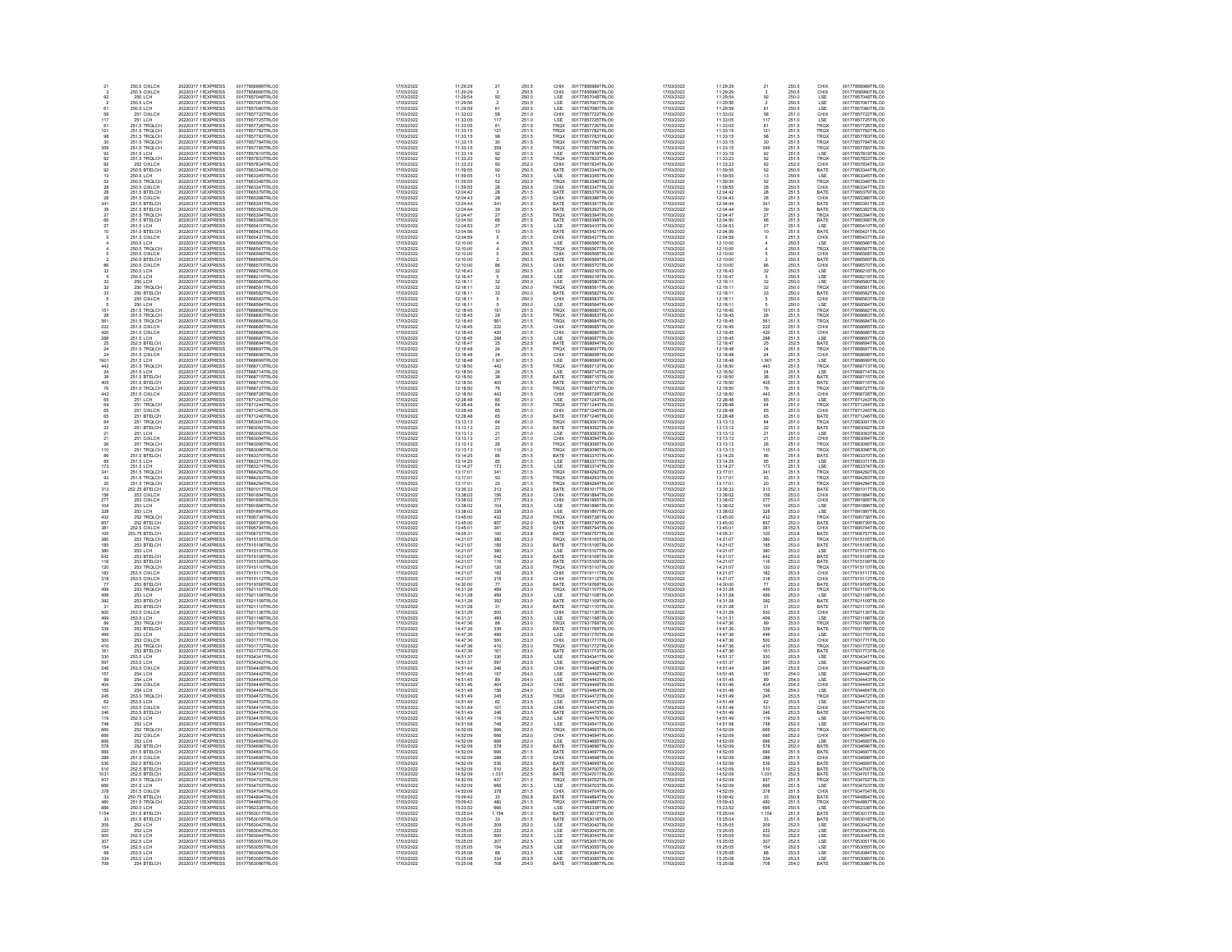| -21                                            | 250 S CIXI CH                                                                                      | 20220317.1 EXPRESS                                                                                                                                            | 00177856989TRLO0                                                                                                                                              | 17/03/2022<br>17/03/2022<br>17/03/2022                             | 11-29-29<br>---------<br>11:29:29<br>11:29:54            | 21                                                                       | 250 F                                              | CHIX                                                        | 00177856989TRLO0                                                                                                                         | 17/03/2022                                                         | 11-29-29                                                                    | 21                                                                  | 250 S                                                       | <b>CHIX</b>                                                | 00177856989TRLO0                                                                                                                         |
|------------------------------------------------|----------------------------------------------------------------------------------------------------|---------------------------------------------------------------------------------------------------------------------------------------------------------------|---------------------------------------------------------------------------------------------------------------------------------------------------------------|--------------------------------------------------------------------|----------------------------------------------------------|--------------------------------------------------------------------------|----------------------------------------------------|-------------------------------------------------------------|------------------------------------------------------------------------------------------------------------------------------------------|--------------------------------------------------------------------|-----------------------------------------------------------------------------|---------------------------------------------------------------------|-------------------------------------------------------------|------------------------------------------------------------|------------------------------------------------------------------------------------------------------------------------------------------|
|                                                | 250.5 CIXLCH<br>250.5 CIXLCH<br>250.5 LCH<br>250.5 LCH<br>250.5 LCH<br>051.031.031                 | 20220317 1 EXPRESS<br>20220317 1 EXPRESS<br>20220317 1 EXPRESS<br>20220317 1 EXPRESS                                                                          | 00177856990TRLO0<br>00177857048TRLO0<br>00177857048TRLO0<br>00177857087TRLO0                                                                                  |                                                                    | 11:29:56                                                 | $\frac{5}{92}$                                                           | 250.5<br>250.6<br>250.6<br>250.5                   | CHIX<br>LSE<br>LSE<br>LSE                                   | 00177856990TRLO0<br>00177857048TRLO0<br>00177857048TRLO0<br>00177857080TRLO0                                                             | 17/03/2022<br>17/03/2022<br>17/03/2022<br>17/03/2022               | 11:29:29<br>11:29:54<br>11:29:56<br>11:29:59                                |                                                                     | 250.5<br>250.6<br>250.6<br>250.5                            | CHIX<br>LSE<br>LSE<br>LSE                                  | 00177856990TRLO0<br>00177857048TRLO0<br>00177857048TRLO0<br>00177857080TRLO0                                                             |
| 58                                             | 251 CIXLCH                                                                                         | 20220317 1 EXPRESS                                                                                                                                            | 00177857722TRLO0                                                                                                                                              | 17/03/2022<br>17/03/2022<br>17/03/2022                             | 11:29:59<br>11:33:02                                     | $rac{2}{61}$<br>58                                                       | 251.0                                              | CHIX                                                        | 00177857722TRLO0                                                                                                                         | 17/03/2022                                                         | 11:33:02                                                                    | 58                                                                  | 251.0                                                       | CHIX                                                       | 00177857722TRLO0                                                                                                                         |
| $^{117}_{61}$                                  | 251 LCH<br>251.5 TRQLCH                                                                            | 20220317 1 EXPRESS<br>20220317 1 EXPRESS                                                                                                                      | 00177857725TRLO0<br>00177857726TRLO0                                                                                                                          | 17/03/2022<br>17/03/2022                                           | 11:33:05<br>11:33:05                                     | $^{117}_{61}$                                                            | 251.0<br>251.5                                     | LSE<br>TRQX                                                 | 00177857725TRLO0<br>00177857726TRLO0                                                                                                     | 17/03/2022<br>17/03/2022                                           | 11:33:05<br>11:33:05                                                        | 117<br>61                                                           | 251.0<br>251.5                                              | LSE<br>TRQX                                                | 00177857725TRLO0<br>00177857726TRLOD                                                                                                     |
|                                                |                                                                                                    |                                                                                                                                                               |                                                                                                                                                               | 17/03/2022                                                         | 11:33:15<br>11:33:15                                     |                                                                          | 251.5<br>251.5<br>251.5                            |                                                             |                                                                                                                                          | 17/03/2022<br>17/03/2022                                           | $11:33:15$<br>$11:33:15$<br>$11:33:15$                                      |                                                                     | 251.5<br>251.5<br>251.5                                     |                                                            | 00177857782TRLOD<br>00177857783TRLOD                                                                                                     |
| 121<br>98<br>30                                |                                                                                                    |                                                                                                                                                               |                                                                                                                                                               | 17/03/2022<br>17/03/2022<br>17/03/2022                             | 11:33:15                                                 |                                                                          |                                                    |                                                             |                                                                                                                                          | 17/03/2022                                                         |                                                                             |                                                                     |                                                             |                                                            |                                                                                                                                          |
| 359<br>92                                      | 251.5 TRQLCH<br>251.5 TRQLCH<br>251.5 TRQLCH<br>251.5 TRQLCH<br>251.5 LCH                          | 20220317 1 EXPRESS<br>20220317 1 EXPRESS<br>20220317 1 EXPRESS<br>20220317 1 EXPRESS<br>20220317 1 EXPRESS                                                    | 00177857782TRLO0<br>00177857782TRLO0<br>00177857784TRLO0<br>00177857785TRLO0<br>00177857819TRLO0                                                              | 17/03/2022<br>17/03/2022                                           | 11:33:15<br>11:33:19                                     | 121 98 30 599 92 92 92 13 23 28 28                                       | 251.5<br>251.5                                     | TROX<br>TROX<br>TROX<br>TROX<br>LSE                         | 00177857782TRLO0<br>00177857782TRLO0<br>00177857784TRLO0<br>00177857785TRLO0<br>00177857819TRLO0                                         | 17/03/2022<br>17/03/2022                                           | 11:33:15<br>11:33:19                                                        | $\begin{array}{r} 121 \\ 98 \\ 30 \\ 92 \\ 92 \\ 92 \\ \end{array}$ | 251.5<br>251.5                                              | TRQX<br>TRQX<br>TRQX<br>TRQX<br>LSE                        | 00177857784TRLO0<br>00177857785TRLO0<br>00177857819TRLO0                                                                                 |
| $\frac{92}{92}$                                | 251.5 TROLCH<br>252 CIXLCH                                                                         | 20220317 1 EXPRESS<br>20220317 1 EXPRESS                                                                                                                      | 00177857833TRLO0<br>00177857834TRLO0                                                                                                                          | 17/03/2022<br>17/03/2022                                           | 11:33:23<br>11:33:23                                     |                                                                          | 251.5<br>252.0                                     | TRQX<br>CHIX                                                | 00177857833TRLO0<br>00177857834TRLO0                                                                                                     | 17/03/2022<br>17/03/2022                                           | 11:33:23<br>11:33:23                                                        |                                                                     | 251.5<br>252.0                                              | TRQX<br>CHIX                                               | 00177857833TRLO0<br>00177857834TRLO0                                                                                                     |
| às                                             | 250.5 BTELCH                                                                                       | 20220317 1: EXPRESS                                                                                                                                           | 00177863344TRLO0                                                                                                                                              | 17/03/2022                                                         | 11:59:55                                                 |                                                                          | 250 f                                              | <b>BATE</b>                                                 | 00177863344TRLO0                                                                                                                         | 17/03/2022                                                         | 11:59:55                                                                    |                                                                     | 250.5                                                       | <b>BATE</b>                                                | 00177863344TRLO0                                                                                                                         |
|                                                | 250.5 BTELCH<br>250.5 TRQLCH<br>250.5 CIXLCH<br>251.5 BTELCH<br>251.5 CIVLOH                       | 20220317 1 EXPRESS<br>20220317 1 EXPRESS<br>20220317 1 EXPRESS<br>20220317 1 EXPRESS<br>20220317 1 EXPRESS<br>20220317 1 EXPRESS                              | 001778633441RLO0<br>00177863345TRLO0<br>00177863346TRLO0<br>00177863347TRLO0<br>00177865379TRLO0<br>00177865386TRLO0                                          | 17/03/2022<br>17/03/2022<br>17/03/2022<br>17/03/2022<br>17/03/2022 | 11:59:55<br>11:59:55<br>11:59:55<br>12:04:42<br>12:04:42 |                                                                          | 250.5<br>250.5<br>250.5<br>250.5<br>251.5<br>251.5 | <b>LSE<br/> TROX<br/> CHIX<br/> BATE</b>                    | 001778633441RL00<br>00177863345TRL00<br>00177863345TRL00<br>00177865379TRL00                                                             | 17/03/2022<br>17/03/2022<br>17/03/2022<br>17/03/2022<br>17/03/2022 | 11:59:55<br>11:59:55<br>11:59:55<br>12:04:42<br>12:04:42                    | 92 13 52 28 28 28                                                   | 250.5<br>250.5<br>250.5<br>250.5<br>251.5                   | LSE<br>TRQX<br>CHIX<br>BATE                                | 001778633441RL00<br>00177863345TRL00<br>00177863345TRL00<br>00177865379TRL00                                                             |
| $\frac{28}{28}$                                |                                                                                                    |                                                                                                                                                               |                                                                                                                                                               |                                                                    |                                                          |                                                                          |                                                    |                                                             |                                                                                                                                          |                                                                    |                                                                             |                                                                     |                                                             |                                                            |                                                                                                                                          |
| 28<br>341                                      | 251.5 CIXLCH<br>251.5 BTELCH                                                                       |                                                                                                                                                               |                                                                                                                                                               | 17/03/2022<br>17/03/2022                                           | 12:04:43<br>12:04:44                                     |                                                                          |                                                    | CHIX                                                        | 00177865386TRLO0<br>00177865391TRLO0                                                                                                     | 17/03/2022<br>17/03/2022                                           | 12:04:43<br>12:04:44                                                        |                                                                     | 251.5                                                       | CHIX                                                       | 00177865386TRLO0<br>00177865391TRLO0                                                                                                     |
| 39                                             | 251.5 BTELCH                                                                                       | 20220317 1: EXPRESS<br>20220317 1: EXPRESS                                                                                                                    | 00177865391TRLO0<br>00177865392TRLO0                                                                                                                          | 17/03/2022                                                         | 12:04:44                                                 | 341<br>39<br>27<br>66<br>27<br>10<br>5                                   | 251.5<br>251.5                                     | BATE<br>BATE                                                | 00177865392TRLO0                                                                                                                         | 17/03/2022<br>17/03/2022                                           | 12:04:44                                                                    | 341<br>39<br>27<br>66<br>27<br>10<br>5                              | 251.5<br>251.5                                              | BATE<br>BATE                                               | 00177865392TRLOD                                                                                                                         |
|                                                |                                                                                                    | 20220317 1: EXPRESS<br>20220317 1: EXPRESS                                                                                                                    |                                                                                                                                                               | 17/03/2022<br>17/03/2022                                           | 12:04:47<br>12:04:50                                     |                                                                          | 251.5<br>251.5                                     |                                                             | 00177865394TRLO0<br>00177865398TRLO0                                                                                                     | 17/03/2022                                                         | 12:04:47<br>12:04:50                                                        |                                                                     |                                                             |                                                            | 00177865394TRLOO<br>00177865398TRLOO                                                                                                     |
|                                                | 251.5 BELCH<br>251.5 TRQLCH<br>251.5 BTELCH<br>251.5 GINLCH<br>251.5 CINLCH                        | 20220317 1: EXPRESS<br>20220317 1: EXPRESS<br>20220317 1: EXPRESS<br>20220317 1: EXPRESS<br>20220317 1: EXPRESS<br>20220317 1: EXPRESS                        | 00177865392114.00<br>00177865394TRLO0<br>00177865410TRLO0<br>00177865421TRLO0<br>00177865437TRLO0<br>00177866567TRLO0<br>00177866567TRLO0<br>00177866567TRLO0 | 7/03/2022<br>17/03/2022<br>17/03/2022                              | 12:04:53<br>12:04:53<br>12:04:56                         |                                                                          | 251.5<br>251.5<br>251.5                            | BATE<br>TROX<br>BATE<br>LSE<br>BATE<br>CHIX<br>CHIX<br>CHIX | 00177865410TRLO0<br>00177865421TRLO0<br>00177865437TRLO0                                                                                 | 17/03/2022<br>17/03/2022<br>17/03/2022                             | 12:04:53<br>12:04:53<br>12:04:56                                            |                                                                     | 251.5<br>251.5<br>251.5<br>251.5<br>251.5                   | BATE<br>TROX<br>BATE<br>LSE<br>BATE<br>CHIX<br>LSE<br>TROX | 00177865410TRLO0<br>00177865421TRLO0<br>00177865437TRLO0                                                                                 |
|                                                |                                                                                                    |                                                                                                                                                               |                                                                                                                                                               | 17/03/2022                                                         | 12:10:00                                                 |                                                                          | 250.6                                              |                                                             | 00177866566TRLO0                                                                                                                         | 17/03/2022                                                         | 12:10:00                                                                    |                                                                     | 250.5                                                       |                                                            |                                                                                                                                          |
|                                                | 250.5 LCH<br>250.5 TRQLCH<br>250.5 CIXLCH                                                          | 20220317 1: EXPRESS                                                                                                                                           | 00177866568TRLO0                                                                                                                                              | 17/03/2022<br>17/03/2022                                           | 12:10:00<br>12:10:00                                     | 6                                                                        | 250.6<br>250.5                                     | CHIX                                                        | 00177866567TRLO0<br>00177866568TRLO0                                                                                                     | 17/03/2022<br>17/03/2022                                           | 12:10:00<br>12:10:00                                                        |                                                                     | 250.5<br>250.5                                              | CHIX                                                       | 00177866566TRLO0<br>00177866567TRLO0<br>00177866568TRLO0                                                                                 |
|                                                |                                                                                                    |                                                                                                                                                               |                                                                                                                                                               | 17/03/2022<br>17/03/2022                                           | 12:10:00<br>12:10:00                                     |                                                                          |                                                    |                                                             | 00177866569TRLO0<br>00177866570TRLO0                                                                                                     | 17/03/2022<br>17/03/2022                                           |                                                                             | â                                                                   |                                                             |                                                            | 00177866569TRLOO<br>00177866570TRLOO                                                                                                     |
|                                                | 250.5 GIACCH<br>250.5 GIXLCH<br>250.5 LCH<br>250.5 LCH<br>250.5 LCH                                | 20220317 1: EXPRESS<br>20220317 1: EXPRESS<br>20220317 1: EXPRESS<br>20220317 1: EXPRESS<br>20220317 1: EXPRESS<br>20220317 1: EXPRESS                        | 001778665681RLO0<br>00177866569TRLO0<br>00177866570TRLO0<br>00177868216TRLO0<br>00177868580TRLO0<br>00177868580TRLO0                                          | 17/03/2022<br>17/03/2022<br>17/03/2022                             |                                                          | 2 86 32 5 32                                                             | 250.5<br>250.5<br>250.5<br>250.5<br>250.6          | BATE<br>CHIX<br>LSE<br>LSE<br>LSE                           | 00177868216TRLOD<br>00177868216TRLOD                                                                                                     | 17/03/2022<br>17/03/2022                                           | 12:10:00<br>12:10:00<br>12:16:43<br>12:16:47                                | $\frac{37}{5}$                                                      | 250.5<br>250.5<br>250.5<br>250.5<br>250.0                   | BATE<br>CHIX<br>LSE<br>LSE<br>LSE                          | 00177868216TRLOD<br>00177868219TRLOD                                                                                                     |
| 32                                             | 250 LCH                                                                                            |                                                                                                                                                               |                                                                                                                                                               | 17/03/2022                                                         | 12:18:11                                                 |                                                                          |                                                    |                                                             | 00177868580TRLO0                                                                                                                         | 17/03/2022                                                         | 12:18:11                                                                    | $\overline{32}$                                                     |                                                             |                                                            | 00177868580TRLO0                                                                                                                         |
| $\frac{32}{33}$                                | 250 TRQLCH<br>250 BTELCH                                                                           | 20220317 1: EXPRESS<br>20220317 1: EXPRESS                                                                                                                    | 00177868581TRLO0<br>00177868582TRLO0                                                                                                                          | 17/03/2022<br>17/03/2022                                           | 12:18:11<br>12:18:11                                     | $\begin{array}{r} 32 \\ 33 \\ 5 \\ 6 \end{array}$                        | 250.0<br>250.0                                     | TRQX<br>BATE                                                | 00177868581TRLO0<br>00177868582TRLO0                                                                                                     | 17/03/2022<br>17/03/2022                                           | 12:18:11<br>12:18:11                                                        | $\frac{32}{33}$                                                     | 250.0<br>250.0                                              | TRQX<br>BATE                                               | 00177868581TRLO0<br>00177868582TRLO0                                                                                                     |
|                                                | 250 CIXLCH<br>250 LCH                                                                              | 20220317 1: EXPRESS<br>20220317 1: EXPRESS                                                                                                                    | 00177868583TRLO0<br>00177868584TRLO0                                                                                                                          | 17/03/2022<br>17/03/2022                                           | 12:18:11<br>12:18:11                                     |                                                                          | 250.0<br>250.0                                     | CHIX<br>LSE                                                 | 00177868583TRLO0<br>00177868584TRLO0                                                                                                     | 17/03/2022<br>17/03/2022                                           | 12:18:11<br>12:18:11                                                        |                                                                     | 250.0<br>250.0<br>251.5<br>251.5<br>251.5                   | CHIX<br>LSE<br>TRQX<br>TRQX<br>TRQX                        | 00177868583TRLO0<br>00177868584TRLO0                                                                                                     |
|                                                | 251.5 TROLCH<br>251.5 TROLCH<br>251.5 TROLCH                                                       | 20220317 1: EXPRESS<br>20220317 1: EXPRESS<br>20220317 1: EXPRESS<br>20220317 1: EXPRESS<br>20220317 1: EXPRESS<br>20220317 1: EXPRESS                        | 001778686841RLO0<br>00177868682TRLO0<br>00177868683TRLO0<br>00177868684TRLO0<br>00177868685TRLO0<br>00177868686TRLO0                                          | 17/03/2022<br>17/03/2022<br>17/03/2022<br>17/03/2022               | 12:18:45<br>12:18:45<br>12:18:45                         |                                                                          | 250.0<br>251.5<br>251.5<br>251.5                   | TRQX<br>TRQX<br>TRQX                                        | 00177868682TRLO0<br>00177868683TRLO0<br>00177868684TRLO0                                                                                 | 17/03/2022<br>17/03/2022<br>17/03/2022                             | 2:18:45<br>12:18:45<br>12:18:45                                             |                                                                     |                                                             |                                                            | 00177868682TRLO0<br>00177868683TRLO0<br>00177868684TRLO0                                                                                 |
| 151<br>28<br>561<br>222<br>420                 |                                                                                                    |                                                                                                                                                               |                                                                                                                                                               |                                                                    |                                                          | 151 281 222 420 88 25 24 24 34 24 38                                     |                                                    |                                                             |                                                                                                                                          |                                                                    |                                                                             | 151<br>28<br>561<br>222<br>420<br>28<br>25<br>24<br>24<br>44<br>3   |                                                             |                                                            |                                                                                                                                          |
|                                                | 251.5 CIXLCH<br>251.5 CIXLCH                                                                       |                                                                                                                                                               |                                                                                                                                                               | 17/03/2022<br>17/03/2022                                           | 12:18:45<br>12:18:45                                     |                                                                          | 251.5<br>251.5                                     | CHIX<br>CHIX                                                | 00177868685TRLO0<br>00177868686TRLO0                                                                                                     | 17/03/2022<br>17/03/2022                                           | 12:18:45<br>12:18:45                                                        |                                                                     | 251.5<br>251.5                                              | CHIX<br>CHIX                                               | 00177868685TRLO0<br>00177868686TRLO0                                                                                                     |
| 288                                            | 251.5 LCH                                                                                          | 20220317 1: EXPRESS                                                                                                                                           | 00177868687TRLO0                                                                                                                                              | 17/03/2022                                                         | 12:18:45                                                 |                                                                          | 251.5                                              | LSE                                                         | 00177868687TRLO0                                                                                                                         | 17/03/2022                                                         | 12:18:45                                                                    |                                                                     | 251.5                                                       | LSE                                                        | 00177868687TRLOD                                                                                                                         |
| $rac{25}{24}$                                  | 252.5 BTELCH<br>251.5 TROLCH                                                                       | 20220317 1: EXPRESS<br>20220317 1: EXPRESS                                                                                                                    |                                                                                                                                                               | 17/03/2022<br>17/03/2022                                           | 12:18:47<br>12:18:48                                     |                                                                          |                                                    | BATE<br>TRQX                                                | 00177868694TRLO0<br>00177868697TRLO0                                                                                                     | 17/03/2022<br>17/03/2022                                           |                                                                             |                                                                     | 252.5<br>251.5                                              |                                                            | 00177868694TRLOO<br>00177868697TRLOO                                                                                                     |
|                                                | 251.5 INQUER<br>251.5 CIXLCH<br>251.5 TRQLCH                                                       | 20220317 1: EXPRESS<br>20220317 1: EXPRESS<br>20220317 1: EXPRESS                                                                                             | 001778686871RLO0<br>00177868694TRLO0<br>00177868698TRLO0<br>00177868699TRLO0<br>00177868713TRLO0                                                              | 17703/202<br>17703/202<br>17703/202                                | 12:18:48<br>12:18:48<br>12:18:48                         |                                                                          | 251.5<br>252.5<br>251.5<br>251.5<br>251.5<br>251.5 | CHIX<br>LSE<br>TRQX                                         | 00177868698TRLO0<br>00177868699TRLO0<br>00177868713TRLO0                                                                                 | 17/03/2022<br>17/03/2022<br>17/03/2022                             | 12:18:47<br>12:18:48<br>12:18:48<br>12:18:48<br>12:18:50                    |                                                                     | 251.5<br>251.5<br>251.5                                     | ESE<br>BATE<br>TROX<br>CHIX<br>LSE<br>TROX                 | 00177868697TRLOO<br>00177868699TRLOO<br>00177868713TRLOO                                                                                 |
| 443<br>24                                      |                                                                                                    |                                                                                                                                                               |                                                                                                                                                               | 17/03/2022<br>17/03/2022                                           | 12:18:50<br>12:18:50                                     |                                                                          |                                                    |                                                             |                                                                                                                                          | 17/03/2022<br>17/03/2022                                           |                                                                             |                                                                     |                                                             |                                                            |                                                                                                                                          |
| $^{38}$                                        | 251.5 LCH<br>251.5 BTELCH                                                                          | 20220317 1: EXPRESS<br>20220317 1: EXPRESS                                                                                                                    | 00177868714TRLO0<br>00177868715TRLO0                                                                                                                          | 17/03/2022<br>17/03/2022                                           | 12:18:50<br>12:18:50                                     |                                                                          | 251.5<br>251.5                                     | LSE<br>BATE                                                 | 00177868714TRLO0<br>00177868715TRLO0                                                                                                     | 17/03/2022<br>17/03/2022                                           | 12:18:50<br>12:18:50<br>12:18:50                                            | $\frac{24}{38}$                                                     | 251.5<br>251.5                                              | LSE<br>BATE                                                | 00177868714TRLO0<br>00177868715TRLO0<br>00177868716TRLO0                                                                                 |
| $\frac{405}{76}$                               | 251.5 BTELCH<br>251.5 TROLCH                                                                       | 20220317 1: EXPRESS<br>20220317 1: EXPRESS                                                                                                                    | 00177868716TRLO0<br>00177868727TRLO0                                                                                                                          | 17/03/2022                                                         | 12:18:50                                                 |                                                                          | 251.5<br>251.5                                     | BATE<br>TRQX                                                | 00177868716TRLO0<br>00177868727TRLO0                                                                                                     | 17/03/2022                                                         | 12:18:50                                                                    |                                                                     |                                                             | BATE<br>TRQX                                               | 00177868727TRLO0                                                                                                                         |
| $443$<br>$65$<br>$64$                          | 251.5 INGLCH<br>251.5 CIXLCH<br>251 TRQLCH<br>251 TRQLCH                                           | 20220317 1: EXPRESS<br>20220317 1: EXPRESS<br>20220317 1: EXPRESS<br>20220317 1: EXPRESS<br>20220317 1: EXPRESS<br>20220317 1: EXPRESS                        | 001778687271RLO0<br>00177871243TRLO0<br>00177871243TRLO0<br>00177871244TRLO0<br>00177871245TRLO0                                                              | 17/03/2022<br>17/03/2022<br>17/03/2022                             | 12:18:50<br>12:28:48<br>12:28:48                         | 405 76 44 65 64 65 64 22 1 1 26 1 10                                     | 251.5<br>251.5<br>251.0<br>251.0                   | CHIX<br>LSE<br>TRQX                                         | 001778687271RLO0<br>00177868728TRLO0<br>00177871243TRLO0<br>00177871244TRLO0<br>00177871245TRLO0                                         | 17/03/2022<br>17/03/2022<br>17/03/2022                             | 12:18:50<br>12:28:48<br>12:28:48                                            | 405<br>76<br>443<br>65<br>64<br>65<br>65                            | 251.5<br>251.5<br>251.5<br>251.0<br>251.0                   | CHIX<br>LSE<br>TRQX                                        | 00177868727TRLO0<br>00177868728TRLO0<br>00177871243TRLO0<br>00177871244TRLO0<br>00177871246TRLO0                                         |
|                                                |                                                                                                    |                                                                                                                                                               |                                                                                                                                                               | 17/03/2022                                                         |                                                          |                                                                          |                                                    |                                                             |                                                                                                                                          | 17/03/2022                                                         |                                                                             |                                                                     |                                                             |                                                            |                                                                                                                                          |
| 65<br>64                                       | 251 CIXLCH<br>251 BTELCH<br>251 TROLCH                                                             | 20220317 1: EXPRESS                                                                                                                                           | 00177883091TRLO0                                                                                                                                              | 17/03/2022<br>17/03/2022                                           | 12:28:48<br>12:28:48<br>13:13:13                         |                                                                          | 251.0<br>251.0<br>251.0                            | CHIX<br>BATE<br><b>TRQX</b>                                 | 00177883091TRLO0                                                                                                                         | 17/03/2022<br>17/03/2022                                           | 12:28:48<br>12:28:48<br>13:13:13                                            |                                                                     | 251.0<br>251.0<br>251.0                                     | CHIX<br>BATE<br>TROX                                       | 00177883091TRLOD                                                                                                                         |
| $\frac{22}{21}$                                | 251 BTELCH<br>251 LCH                                                                              | 20220317 1: EXPRESS<br>20220317 1: EXPRESS                                                                                                                    | 00177883092TRLO0<br>00177883093TRLO0                                                                                                                          | 17/03/2022<br>17/03/2022                                           | 13:13:13<br>13:13:13                                     |                                                                          | 251.0<br>251.0                                     | BATE<br>LSE                                                 | 00177883092TRLO0<br>00177883093TRLO0                                                                                                     | 17/03/2022<br>17/03/2022                                           | 13:13:13<br>13:13:13                                                        | 64<br>22<br>21<br>21<br>26<br>110                                   | 251.0<br>251.0                                              | BATE<br>LSE<br>CHIX<br>TRQX<br>TRQX                        | 00177883092TRLO0<br>00177883093TRLO0                                                                                                     |
|                                                |                                                                                                    |                                                                                                                                                               |                                                                                                                                                               | 17/03/2022<br>17/03/2022<br>17/03/2022                             | 13:13:13<br>13:13:13<br>13:13:13                         |                                                                          |                                                    |                                                             |                                                                                                                                          |                                                                    |                                                                             |                                                                     |                                                             |                                                            |                                                                                                                                          |
| $\begin{array}{c} 21 \\ 26 \\ 10 \end{array}$  | 251 CIXLCH<br>251 TRQLCH<br>251 TRQLCH                                                             | 20220317 1: EXPRESS<br>20220317 1: EXPRESS<br>20220317 1: EXPRESS                                                                                             | 00177883094TRLO0<br>00177883094TRLO0<br>00177883096TRLO0<br>00177883096TRLO0                                                                                  | 17/03/2022                                                         | 13:13:13                                                 |                                                                          | 251.0<br>251.0<br>251.0<br>251.0                   | CHIX<br>TRQX<br>TRQX                                        | 00177883094TRLO0<br>00177883095TRLO0<br>00177883096TRLO0                                                                                 | 17/03/2022<br>17/03/2022<br>17/03/2022                             | $\begin{array}{r} 13.13.13 \\ 13:13.13 \\ 13:13.13 \\ 13:13.13 \end{array}$ |                                                                     | 251.0<br>251.0<br>251.0<br>251.0                            |                                                            | 00177883094TRLO0<br>00177883095TRLO0<br>00177883096TRLO0                                                                                 |
| 86<br>85                                       | 251.5 BTELCH<br>251.5 LCH                                                                          | 20220317 1: EXPRESS<br>20220317 1: EXPRESS                                                                                                                    | 00177883370TRLO0<br>00177883371TRLO0                                                                                                                          | 17/03/2022<br>17/03/2022                                           | 13:14:25<br>13:14:25                                     | $\frac{86}{85}$                                                          | 251.5<br>251.5                                     | BATE<br>LSE                                                 | 00177883370TRLO0<br>00177883371TRLO0                                                                                                     | 17/03/2022<br>17/03/2022                                           | 13:14:25<br>13:14:25                                                        | $\begin{array}{l} 86 \\ 85 \end{array}$                             | 251.5<br>251.5                                              | BATE<br>LSE                                                | 00177883370TRLO0<br>00177883371TRLO0                                                                                                     |
| 173<br>341                                     | 251.5 LCH<br>251.5 TRQLCH                                                                          | 20220317 1: EXPRESS<br>20220317 1: EXPRESS                                                                                                                    | 00177883374TRLO0<br>00177884292TRLO0                                                                                                                          | 17/03/2022<br>17/03/2022                                           | 13:14:27<br>13:17:01                                     |                                                                          | 251.5<br>251.5                                     | LSE<br>TRQX                                                 | 00177883374TRLO0<br>00177884292TRLO0                                                                                                     | 17/03/2022<br>17/03/2022                                           | 13:14:27<br>13:17:01                                                        |                                                                     |                                                             | LSE<br>TRQX                                                | 00177883374TRLO0<br>00177884292TRLOD                                                                                                     |
| $\begin{array}{r} 93 \\ 20 \\ 313 \end{array}$ |                                                                                                    |                                                                                                                                                               |                                                                                                                                                               |                                                                    | 13:17:01<br>13:17:01<br>13:36:33                         |                                                                          | 251.5<br>251.5<br>252.3                            | TRQX<br>TRQX<br>BATE                                        |                                                                                                                                          |                                                                    | 13:17:01<br>13:17:01<br>13:36:33                                            |                                                                     |                                                             |                                                            |                                                                                                                                          |
|                                                | 251.5 TRQLCH<br>251.5 TRQLCH<br>252.25 BTELCH                                                      | 20220317 1: EXPRESS<br>20220317 1: EXPRESS<br>20220317 1: EXPRESS<br>20220317 1: EXPRESS<br>20220317 1: EXPRESS<br>20220317 1: EXPRESS                        | 001778842921RLO0<br>00177884293TRLO0<br>00177884294TRLO0<br>00177891894TRLO0<br>00177891894TRLO0                                                              | 17/03/2022<br>17/03/2022<br>17/03/2022                             |                                                          |                                                                          |                                                    |                                                             | 00177884292TRLO0<br>00177884293TRLO0<br>00177884294TRLO0<br>00177891894TRLO0<br>00177891894TRLO0                                         | 17/03/2022<br>17/03/2022<br>17/03/2022                             |                                                                             | 173<br>341<br>93<br>20<br>313<br>156<br>277<br>104                  | 251.5<br>251.5<br>251.5<br>251.5<br>252.3<br>253.0<br>253.0 | TRQX<br>TRQX<br>BATE<br>CHIX<br>CHIX                       | 00177884292TRLO0<br>00177884293TRLO0<br>00177884294TRLO0<br>00177891017TRLO0<br>00177891894TRLO0<br>00177891895TRLO0                     |
| $\frac{156}{277}$                              | 253 CIXLCH<br>253 CIXLCH                                                                           |                                                                                                                                                               |                                                                                                                                                               | 17/03/2022<br>17/03/2022                                           | 13:38:02<br>13:38:02                                     |                                                                          | 253.0<br>253.0                                     | CHIX<br>CHIX                                                |                                                                                                                                          | 17/03/2022<br>17/03/2022                                           | 13:38:02<br>13:38:02                                                        |                                                                     |                                                             |                                                            |                                                                                                                                          |
| 104<br>328<br>432                              | 253 LCH<br>253 LCH<br>252 TROLCH                                                                   | 20220317 1: EXPRESS<br>20220317 1: EXPRESS<br>20220317 1: EXPRESS                                                                                             | 00177891896TRLOD<br>00177891897TRLO0<br>00177895738TRLO0                                                                                                      | 17/03/2022<br>17/03/2022<br>17/03/2022                             | 13:38:02<br>13:38:02<br>13:45:00                         | 173 41 93 20 31 3 45 27 10 4 3 2 8 5 7 8 1 0 0                           | 253.0<br>253.0<br>252.0                            | LSE<br>LSE<br>TRQX                                          | 00177891896TRLO0<br>00177891897TRLO0<br>00177895738TRLO0                                                                                 | 17/03/2022<br>17/03/2022                                           | 13:38:02<br>13:38:02<br>13:45:00                                            |                                                                     | 253.0<br>253.0<br>252.0                                     | LSE<br>LSE<br>TROX                                         | 00177891896TRLO0<br>00177891897TRLO0<br>00177895738TRLO0                                                                                 |
|                                                |                                                                                                    |                                                                                                                                                               |                                                                                                                                                               |                                                                    |                                                          |                                                                          |                                                    |                                                             |                                                                                                                                          | 17/03/2022                                                         |                                                                             | 328<br>432<br>432<br>857<br>381<br>100                              |                                                             |                                                            |                                                                                                                                          |
| 857<br>857<br>381<br>100                       | 262 INGLES<br>252.5 CIXLCH<br>253.75 BTELCH                                                        | 20220317 1: EXPRESS<br>20220317 1: EXPRESS<br>20220317 1: EXPRESS                                                                                             | 00177895739TRLOO<br>00177895794TRLOO<br>00177906757TRLOO                                                                                                      | 17/03/2022<br>17/03/2022<br>17/03/2022                             | 13:45:00<br>13:45:00<br>13:45:01<br>14:05:31             |                                                                          | 252.0<br>252.0<br>252.5<br>253.8                   | BATE<br>CHIX<br>BATE                                        | 00177895739TRLO0<br>00177895794TRLO0<br>00177906757TRLO0                                                                                 | 17/03/2022<br>17/03/2022<br>17/03/2022                             | 13:45:00<br>13:45:00<br>13:45:01<br>14:05:31                                |                                                                     | 252.0<br>252.0<br>252.5<br>253.8                            | BATE<br>CHIX<br>BATE                                       | 00177895739TRLO0<br>00177895794TRLO0<br>00177906757TRLO0                                                                                 |
| 380<br>185                                     | 253 TRQLCH<br>253 BTELCH                                                                           | 20220317 1-EXPRESS<br>20220317 1-EXPRESS                                                                                                                      | 00177915105TRLO0<br>00177915106TRLO0                                                                                                                          | 17/03/2022<br>17/03/2022                                           | 14:21:07<br>14:21:07                                     | 380<br>185                                                               | 253.0<br>253.0                                     | TRQX<br>BATE                                                | 00177915105TRLO0<br>00177915106TRLO0                                                                                                     | 17/03/2022<br>17/03/2022                                           | 14:21:07<br>14:21:07                                                        | 380<br>185                                                          | 253.0<br>253.0                                              | TRQX<br>BATE                                               | 00177915105TRLO0<br>00177915106TRLO0                                                                                                     |
| 380<br>642                                     | 253 LCH<br>253 BTELCH                                                                              | 20220317 1 EXPRESS<br>20220317 1 EXPRESS                                                                                                                      | 00177915107TRLO0<br>00177915108TRLO0                                                                                                                          | 17/03/2022<br>17/03/2022                                           | 14:21:07<br>14:21:07                                     |                                                                          | 253.0<br>253.0                                     | LSE<br>BATE                                                 | 00177915107TRLO0<br>00177915108TRLO0                                                                                                     | 17/03/2022<br>17/03/2022                                           | 14:21:07<br>14:21:07                                                        |                                                                     | 253.0<br>253.0                                              | LSE<br>BATE                                                | 00177915107TRLOD<br>00177915108TRLOD                                                                                                     |
| 116                                            | 253 BTELCH<br>253 BTELCH<br>253.5 CIXLCH<br>253.5 CIXLCH<br>253 BTELCH<br>253 BTELCH<br>253 BTELCH | 20220317 14 EXPRESS<br>20220317 14 EXPRESS<br>20220317 14 EXPRESS<br>20220317 14 EXPRESS<br>20220317 14 EXPRESS<br>20220317 14 EXPRESS<br>20220317 14 EXPRESS | 00177915108TRLO0<br>00177915110TRLO0<br>00177915110TRLO0<br>00177915112TRLO0<br>00177919788TRLO0<br>00177921107TRLO0<br>00177921107TRLO0                      |                                                                    | 14:21:07                                                 | 380<br>442<br>1120<br>318<br>77<br>499<br>302<br>31<br>500<br>499<br>339 |                                                    |                                                             | 001779151081RLO0<br>00177915110TRLO0<br>00177915111TRLO0<br>00177915112TRLO0<br>00177919768TRLO0                                         | 17/03/2022                                                         |                                                                             | 380<br>642<br>116<br>120<br>182<br>318<br>77<br>499                 |                                                             |                                                            | 00177915108TRLO0<br>00177915109TRLO0<br>00177915110TRLO0<br>00177915112TRLO0<br>00177919788TRLO0                                         |
|                                                |                                                                                                    |                                                                                                                                                               |                                                                                                                                                               | 17/03/2022<br>17/03/2022<br>17/03/2022                             | 14:21:07<br>14:21:07<br>14:21:07                         |                                                                          | 253.0<br>253.0<br>253.5<br>253.5<br>253.5          | BATE<br>TRQX<br>CHIX<br>CHIX<br>BATE                        |                                                                                                                                          | 17/03/2022<br>17/03/2022<br>17/03/2022                             | $14:21:07$<br>$14:21:07$<br>$14:21:07$<br>$14:20:00$<br>$14:30:00$          |                                                                     | 253.0<br>253.0<br>253.0<br>253.5<br>253.5<br>253.0          | BATE<br>TROX<br>CHIX<br>CHIX<br>BATE                       |                                                                                                                                          |
| $\frac{318}{77}$                               |                                                                                                    |                                                                                                                                                               |                                                                                                                                                               | 17/03/2022<br>17/03/2022                                           | 14:21:07<br>14:30:00                                     |                                                                          |                                                    |                                                             |                                                                                                                                          | 17/03/2022                                                         |                                                                             |                                                                     |                                                             |                                                            |                                                                                                                                          |
| 499                                            | 253 TROLCH                                                                                         |                                                                                                                                                               |                                                                                                                                                               | 17/03/2022<br>17/03/2022                                           | 14:31:28                                                 |                                                                          | 253.0                                              | <b>TROX</b>                                                 | 00177921107TRLO0                                                                                                                         | 17/03/2022<br>17/03/2022                                           | 14:31:28<br>14:31-28                                                        |                                                                     | 253.0                                                       | TROX                                                       | 00177921107TRLO0                                                                                                                         |
| 499<br>392                                     | 253 LCH<br>253 BTELCH                                                                              | 20220317 1 EXPRESS<br>20220317 1 EXPRESS                                                                                                                      | 00177921108TRLO0<br>00177921109TRLO0                                                                                                                          | 17/03/2022                                                         | 14:31:28<br>14:31:28                                     |                                                                          | 253.0<br>253.0                                     | LSE<br>BATE<br>BATE<br>CHIX<br>LSE                          | 00177921108TRLO0<br>00177921109TRLO0                                                                                                     | 17/03/2022                                                         | 14:31-28                                                                    | 499<br>392<br>31<br>500<br>499<br>89<br>339                         | 253.0<br>253.0                                              | LSE<br>BATE                                                | 00177921108TRLO0<br>00177921109TRLO0                                                                                                     |
| $\frac{31}{500}$                               | 253 BTELCH<br>253.5 CIXLCH<br>253.5 LCH                                                            | 20220317 1-EXPRESS<br>20220317 1-EXPRESS                                                                                                                      | 001779211091RLO0<br>00177921110TRLO0<br>00177921136TRLO0<br>00177921196TRLO0<br>00177931766TRLO0<br>00177931769TRLO0                                          | 17/03/2022<br>17/03/2022                                           | 14:31:28<br>14:31:28<br>14:31:31                         |                                                                          | 253.0<br>253.0<br>253.5                            |                                                             | 00177921107RLOO<br>00177921136TRLOO<br>00177921196TRLOO                                                                                  | 17/03/2022<br>17/03/2022<br>17/03/2022                             | 14:31:28<br>14:31:29<br>14:31:31                                            |                                                                     | 253.0<br>253.0<br>253.5<br>253.5                            | BATE<br>CHIX<br>LSE                                        | 00177921107RLOO<br>00177921136TRLOO<br>00177921198TRLOO                                                                                  |
| 499                                            |                                                                                                    | 20220317 11 EXPRESS<br>20220317 11 EXPRESS<br>20220317 11 EXPRESS<br>20220317 11 EXPRESS                                                                      |                                                                                                                                                               | 17/03/2022                                                         |                                                          |                                                                          |                                                    |                                                             |                                                                                                                                          | 17/03/2022                                                         |                                                                             |                                                                     |                                                             | TRQX<br>BATE                                               |                                                                                                                                          |
| 89<br>339<br>499                               | 253 TRQLCH<br>253 BTELCH<br>253 LCH                                                                |                                                                                                                                                               |                                                                                                                                                               | 17/03/2022<br>17/03/2022<br>17/03/2022                             | 14:47:36<br>14:47:36                                     |                                                                          | 253.0<br>253.0                                     | TRQX<br>BATE                                                | 00177931768TRLO0<br>00177931769TRLO0                                                                                                     | 17/03/2022<br>17/03/2022                                           | 14:47:36<br>14:47:36<br>14:47:36                                            |                                                                     | 253.0<br>253.0<br>253.0                                     |                                                            | 00177931768TRLO0<br>00177931769TRLO0                                                                                                     |
| 500<br>410                                     | 253 CIXLCH<br>253 TROLCH                                                                           | 20220317 1 EXPRESS<br>20220317 1 EXPRESS                                                                                                                      | 00177931770TRLO0<br>00177931771TRLO0                                                                                                                          | 17/03/2022<br>17/03/2022                                           | 14:47:36<br>14:47:36<br>14:47:38                         |                                                                          | 253.0<br>253.0<br>253 <sub>0</sub>                 | LSE<br>CHIX<br>TROX                                         | 00177931770TRLO0<br>00177931771TRLO0                                                                                                     | 17/03/2022<br>17/03/2022                                           | 14:47:36<br>14:47:38                                                        |                                                                     | 253.0                                                       | LSE<br>CHIX<br>TROX                                        | 00177931770TRLO0<br>00177931771TRLO0                                                                                                     |
|                                                |                                                                                                    |                                                                                                                                                               |                                                                                                                                                               |                                                                    |                                                          |                                                                          |                                                    |                                                             |                                                                                                                                          |                                                                    |                                                                             |                                                                     |                                                             |                                                            |                                                                                                                                          |
| 161<br>330<br>597<br>246<br>157                | 253 IRQLCH<br>253.5 LCH<br>253.5 LCH<br>253.5 CIXLCH<br>253.5 CIXLCH                               | 20220317 14 EXPRESS<br>20220317 14 EXPRESS<br>20220317 14 EXPRESS<br>20220317 14 EXPRESS<br>20220317 14 EXPRESS<br>20220317 14 EXPRESS<br>20220317 14 EXPRESS | 001779317711FRLOD<br>00177931772TRLOD<br>00177934341TRLOD<br>00177934442TRLOD<br>00177934442TRLOD<br>00177934442TRLOD<br>00177934442TRLOD                     | 17/03/2022<br>17/03/2022<br>17/03/2022<br>17/03/2022<br>17/03/2022 | 14:47:36<br>14:47:36<br>14:51:37<br>14:51:37<br>14:51:44 |                                                                          | 253.0<br>253.6<br>253.5<br>253.5                   | ERUX<br>BATE<br>LSE<br>LSE<br>CHIX<br>LSE                   | 00177931771TRLO0<br>00177931772TRLO0<br>00177934241TRLO0<br>00177934442TRLO0<br>00177934442TRLO0<br>00177934442TRLO0<br>00177934442TRLO0 | 17/03/2022<br>17/03/2022<br>17/03/2022<br>17/03/2022<br>17/03/2022 | 14:47:36<br>14:51:37<br>14:51:37<br>14:51:37<br>14:51:44                    | 499<br>500<br>410<br>461<br>330<br>597<br>246<br>157                | 253.0<br>253.0<br>253.0<br>253.5<br>253.5<br>253.5          | ERUATE<br>LSE<br>LSE<br>CHIX<br>LSE                        | 00177931771TRLO0<br>00177931772TRLO0<br>00177931773TRLO0<br>00177934442TRLO0<br>00177934442TRLO0<br>00177934442TRLO0<br>00177934442TRLO0 |
|                                                | <b>254 LCH</b>                                                                                     |                                                                                                                                                               |                                                                                                                                                               | 17/03/2022                                                         | 14:51:45                                                 |                                                                          | 254.0                                              |                                                             |                                                                                                                                          | 17/03/2022                                                         | 14:51:45                                                                    |                                                                     | 254.0                                                       |                                                            |                                                                                                                                          |
| $rac{89}{404}$                                 | <b>254 LCH</b><br>254 CIXLCH                                                                       | 20220317 1 EXPRESS<br>20220317 1 EXPRESS                                                                                                                      | 00177934443TRLO0<br>00177934449TRLO0                                                                                                                          | 17/03/2022<br>17/03/2022                                           | 14:51:45<br>14:51:46                                     |                                                                          | 254.0<br>254.0                                     | LSE<br>CHIX                                                 | 00177934443TRLO0<br>00177934449TRLO0                                                                                                     | 17/03/2022<br>17/03/2022                                           | 14:51:45<br>14:51:46                                                        | $\frac{89}{404}$                                                    | 254.0<br>254.0                                              | LSE<br>CHIX                                                | 00177934443TRLO0<br>00177934449TRLO0                                                                                                     |
| 156<br>245                                     | 254 LCH<br>253.5 TROLCH                                                                            | 20220317 1 EXPRESS<br>20220317 1 EXPRESS                                                                                                                      | 001779344491RLO0<br>00177934464TRLO0<br>00177934473TRLO0<br>00177934474TRLO0<br>00177934474TRLO0                                                              | 17/03/2022<br>17/03/2022                                           | 14:51:48<br>14:51:49                                     | 499 500 416 1330 597 46 57 46 58 404 58 52 10 11 24 6                    | 254.0<br>253.5<br>253.5                            | LSE<br>TRQX<br>LSE<br>CHIX<br>BATE                          | 001779344491RLO0<br>00177934464TRLO0<br>00177934473TRLO0<br>00177934474TRLO0<br>00177934474TRLO0                                         | 17/03/2022<br>17/03/2022                                           | 14:51:48<br>14:51:49<br>14:51:49<br>14:51:49<br>14:51:49                    |                                                                     | 254.0<br>253.5<br>253.5                                     | LSE<br>TROX<br>LSE<br>CHIX<br>BATE                         | 001779344491RLO0<br>00177934464TRLO0<br>00177934473TRLO0<br>00177934474TRLO0<br>00177934474TRLO0                                         |
|                                                | 253.5 LCH                                                                                          | 20220317 1-EXPRESS<br>20220317 1-EXPRESS<br>20220317 1-EXPRESS                                                                                                |                                                                                                                                                               | 7/03/2022                                                          | 14:51:49                                                 |                                                                          |                                                    |                                                             |                                                                                                                                          | 17/03/2022                                                         |                                                                             | 156<br>245<br>246<br>101<br>246<br>119<br>748                       |                                                             |                                                            |                                                                                                                                          |
| $\frac{101}{246}$                              | 253.5 CIXLCH<br>253.5 BTELCH                                                                       |                                                                                                                                                               |                                                                                                                                                               | 17/03/2022<br>17/03/2022                                           | 14:51:49<br>14:51:49                                     |                                                                          | 253.5<br>253.5                                     |                                                             |                                                                                                                                          | 17/03/2022<br>17/03/2022                                           |                                                                             |                                                                     | 253.5<br>253.5                                              |                                                            |                                                                                                                                          |
| 119<br>748                                     | 252.5 LCH<br>252 LCH                                                                               | 20220317 1 EXPRESS<br>20220317 1 EXPRESS                                                                                                                      | 00177934476TRLO0<br>00177934541TRLO0                                                                                                                          | 17/03/2022<br>17/03/2022                                           | 14:51:49<br>14:51:58                                     |                                                                          | 252.5<br>252.0                                     | LSE<br>LSE                                                  | 00177934476TRLO0<br>00177934541TRLO0                                                                                                     | 17/03/2022<br>17/03/2022                                           | 14:51:49<br>14:51:58                                                        |                                                                     | 252.5<br>252.0                                              | $_{\rm LSE}^{\rm LSE}$                                     | 00177934476TRLO0<br>00177934541TRLO0                                                                                                     |
| m                                              | 252 TROLCH                                                                                         | 20220317 1/ EXPRESS                                                                                                                                           |                                                                                                                                                               | 17/03/2022                                                         | 14:52:09                                                 |                                                                          | 252C                                               | TROX                                                        | 00177934693TRLO0                                                                                                                         | 17/03/2022                                                         | 14:52:09                                                                    |                                                                     |                                                             | TROX                                                       | 00177934693TRLO0                                                                                                                         |
|                                                |                                                                                                    |                                                                                                                                                               |                                                                                                                                                               |                                                                    |                                                          |                                                                          |                                                    |                                                             |                                                                                                                                          |                                                                    |                                                                             |                                                                     |                                                             |                                                            |                                                                                                                                          |
| 666<br>666<br>578<br>666                       | 252 TRULCH<br>252 CIXLCH<br>252 BTELCH<br>251.5 BTELCH<br>251.5 BTELCH                             | 20220317 1-EXPRESS<br>20220317 1-EXPRESS<br>20220317 1-EXPRESS<br>20220317 1-EXPRESS<br>20220317 1-EXPRESS<br>20220317 1-EXPRESS                              | 001779346411RLO0<br>001779346941RLO0<br>001779346941RLO0<br>00177934696TRLO0<br>00177934696TRLO0<br>00177934696TRLO0<br>00177934696TRLO0                      | 17/03/2022<br>17/03/2022<br>17/03/2022<br>17/03/2022<br>17/03/2022 | 14:52:09<br>14:52:09<br>14:52:09<br>14:52:09<br>14:52:09 | 666<br>666<br>666<br>578<br>666<br>288<br>536<br>510                     | 252.0<br>252.0<br>252.0<br>251.5                   | CHIX<br>CHIX<br>LSE<br>BATE<br>BATE                         | 00177934693TRLO0<br>00177934694TRLO0<br>00177934695TRLO0<br>00177934697TRLO0<br>00177934697TRLO0                                         | 17/03/2022<br>17/03/2022<br>17/03/2022<br>17/03/2022               | 14:52:09<br>14:52:09<br>14:52:09<br>14:52:09<br>14:52:09                    | 666<br>666<br>666<br>578<br>666<br>288<br>536<br>510                | 252.0<br>252.0<br>252.0<br>252.0<br>251.5                   | CHIX<br>LSE<br>BATE<br>BATE                                | 00177934693TRLO0<br>00177934694TRLO0<br>00177934695TRLO0<br>00177934696TRLO0<br>00177934696TRLO0                                         |
| 288<br>536<br>510                              | 251.5 CIXLCH<br>252.5 BTELCH                                                                       | 20220317 1 EXPRESS<br>20220317 1 EXPRESS                                                                                                                      | 00177934699TRLO0<br>00177934700TRLO0                                                                                                                          | 17/03/2022<br>17/03/2022                                           | 14:52:09<br>14:52:09                                     |                                                                          | 251.5<br>252.5<br>252.5                            | CHIX<br>BATE<br>BATE                                        | 00177934699TRLO0<br>00177934700TRLO0                                                                                                     | 17/03/2022<br>17/03/2022                                           | 14:52:09<br>14:52:09                                                        |                                                                     | 251.5<br>252.5                                              | CHIX<br>BATE                                               | 00177934699TRLO0<br>00177934700TRLO0                                                                                                     |
|                                                | 252.5 BTELCH                                                                                       |                                                                                                                                                               |                                                                                                                                                               | 17/03/2022                                                         | 14:52:09                                                 |                                                                          |                                                    |                                                             |                                                                                                                                          | 17/03/2022<br>17/03/2022                                           | 14:52:09                                                                    |                                                                     | 252.5                                                       | BATE                                                       |                                                                                                                                          |
| 1031                                           | 252.5 BTELCH<br>251.5 TROLCH<br>251.5 LCH                                                          | 20220317 1 EXPRESS<br>20220317 1 EXPRESS                                                                                                                      | 001779347001RLO0<br>00177934701TRLO0<br>00177934702TRLO0<br>00177934703TRLO0<br>00177944894TRLO0                                                              | 17/03/2022<br>17/03/2022<br>7/03/2022                              | 14:52:09<br>14:52:09<br>14:52:09                         | 1,031<br>937<br>666<br>378<br>33                                         | 252.5<br>252.5<br>251.5<br>251.5<br>250.8          | BATE<br>TRQX<br>LSE<br>CHIX<br>BATE                         | 00177934701TRLO0<br>00177934702TRLO0                                                                                                     | 17/03/2022<br>17/03/2022                                           | 14:52:09<br>14:52:09<br>14:52:09                                            | 1,031<br>937<br>666<br>378<br>33                                    | 252.5<br>252.5<br>251.5<br>251.5<br>250.8                   | BATE<br>TROX<br>LSE<br>CHIX<br>BATE                        | 00177934701TRLO0<br>00177934702TRLO0                                                                                                     |
| 378                                            | 251.5 CIXLCH<br>250.75 BTELCH                                                                      | 20220317 1-EXPRESS<br>20220317 1-EXPRESS<br>20220317 1-EXPRESS                                                                                                |                                                                                                                                                               | 17/03/2022<br>17/03/2022                                           | 14:52:09<br>15:09:42                                     |                                                                          |                                                    |                                                             | 00177934703TRLO0<br>00177934704TRLO0<br>00177944894TRLO0                                                                                 | 17/03/2022                                                         | 14:52:09<br>15:09:42                                                        |                                                                     |                                                             |                                                            | 00177934703TRLO0<br>00177934704TRLO0<br>00177944894TRLO0                                                                                 |
| 33<br>480                                      | 251.5 TRQLCH<br>250.5 LCH                                                                          | 20220317 1! EXPRESS<br>20220317 1! EXPRESS                                                                                                                    | 00177944897TRLO0<br>00177952338TRLO0                                                                                                                          | 17/03/2022                                                         | 15:09:43                                                 |                                                                          | 251.5<br>250.5                                     | TRQX<br>LSE                                                 | 00177944897TRLO0                                                                                                                         | 17/03/2022<br>17/03/2022                                           | 15:09:43                                                                    |                                                                     | 251.5                                                       | TRQX<br>LSE                                                | 00177944897TRLO0<br>00177952338TRLO0                                                                                                     |
| 666<br>1154                                    | 251.5 RTFLCH                                                                                       | 20220317 1/ EXPRESS                                                                                                                                           | 00177953017TRLO0                                                                                                                                              | 17/03/2022<br>17/03/2022                                           | 15:23:52<br>15:25:04                                     | 480<br>666<br>1,154                                                      | 251.5                                              | <b>RATE</b>                                                 | 00177952338TRLO0<br>00177953017TRLO0                                                                                                     | 17/03/2022<br>17/03/2022                                           | 15:23:52<br>15:25:04                                                        | $480$<br>$666$<br>$1,154$                                           | 250.5<br>251.5                                              | <b>BATE</b>                                                | 00177953017TRLO0                                                                                                                         |
|                                                |                                                                                                    |                                                                                                                                                               |                                                                                                                                                               |                                                                    | 15:25:04<br>15:25:05                                     |                                                                          | 251.5<br>252.0                                     |                                                             |                                                                                                                                          |                                                                    |                                                                             |                                                                     |                                                             |                                                            |                                                                                                                                          |
| $\frac{222}{500}$                              | 251.5 BTELCH<br>252 LCH<br>252 LCH<br>252.5 LCH<br>252.5 LCH<br>252.5 LCH                          | 20220317 11 EXPRESS<br>20220317 11 EXPRESS<br>20220317 11 EXPRESS<br>20220317 11 EXPRESS<br>20220317 11 EXPRESS<br>20220317 11 EXPRESS                        | 00177953017TRLO0<br>00177953018TRLO0<br>00177953042TRLO0<br>00177953044TRLO0<br>00177953044TRLO0<br>00177953051TRLO0                                          | 17/03/2022<br>17/03/2022<br>17/03/2022<br>17/03/2022               | 15:25:05<br>15:25:05<br>15:25:05                         |                                                                          | 252.0<br>252.0<br>252.5                            | BATE<br>LSE<br>LSE<br>LSE<br>LSE                            | 00177953017TRLO0<br>00177953018TRLO0<br>00177953042TRLO0<br>00177953044TRLO0<br>00177953044TRLO0<br>00177953051TRLO0                     | 17/03/2022<br>17/03/2022<br>17/03/2022<br>17/03/2022               | 15:25:04<br>15:25:04<br>15:25:05<br>15:25:05<br>15:25:05                    |                                                                     | 251.5<br>251.5<br>252.0<br>252.0<br>252.5                   | BATE<br>LSE<br>LSE<br>LSE<br>LSE                           | 00177953017TRLO0<br>00177953018TRLO0<br>00177953042TRLO0<br>00177953043TRLO0<br>00177953044TRLO0<br>00177953051TRLO0                     |
| 307<br>154                                     | 252.5 LCH<br>252.5 LCH                                                                             |                                                                                                                                                               |                                                                                                                                                               | 17/03/2022<br>17/03/2022                                           | 15:25:05<br>15:25:05                                     | 33<br>209<br>222<br>500<br>307<br>154<br>88                              | 252.5                                              | LSE                                                         | 00177953055TRLO0                                                                                                                         | 17/03/2022<br>17/03/2022                                           | 15:25:05<br>15:25:05                                                        | 33<br>209<br>222<br>500<br>307<br>154<br>88                         | 252.5<br>252.5                                              |                                                            |                                                                                                                                          |
|                                                | 253.5 LCH<br>253.5 LCH                                                                             | 20220317 1! EXPRESS<br>20220317 1! EXPRESS                                                                                                                    | 00177953055TRLO0<br>00177953084TRLO0                                                                                                                          | 17/03/2022                                                         | 15:25:08                                                 |                                                                          | 252.5<br>253.5                                     | LSE                                                         | 00177953084TRLO0                                                                                                                         | 17/03/2022                                                         | 15:25:08                                                                    |                                                                     | 253.5                                                       | LSE<br>LSE                                                 | 00177953055TRLO0<br>00177953084TRLO0                                                                                                     |
| 334<br>708                                     | 254 BTELCH                                                                                         | 20220317 1! EXPRESS<br>20220317 1! EXPRESS                                                                                                                    | 00177953085TRLOD<br>00177953086TRLOD                                                                                                                          | 17/03/2022<br>17/03/2022                                           | 15:25:08<br>15:25:08                                     | 334<br>708                                                               | 253.5<br>254.0                                     | LSE<br>BATE                                                 | 00177953085TRLO0<br>00177953086TRLO0                                                                                                     | 17/03/2022<br>17/03/2022                                           | 15:25:08<br>15:25:08                                                        | 334<br>708                                                          | 253.5<br>254.0                                              | LSE<br>BATE                                                | 00177953085TRLO0<br>00177953086TRLO0                                                                                                     |
|                                                |                                                                                                    |                                                                                                                                                               |                                                                                                                                                               |                                                                    |                                                          |                                                                          |                                                    |                                                             |                                                                                                                                          |                                                                    |                                                                             |                                                                     |                                                             |                                                            |                                                                                                                                          |